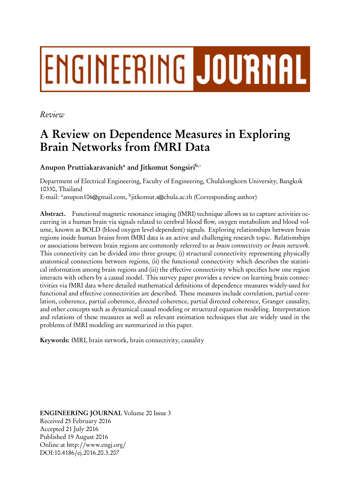# **ENGINEERING JOURNAL**

*Review*

# A Review on Dependence Measures in Exploring Brain Networks from fMRI Data

Anupon Pruttiakaravanichª and Jitkomut Songsiri<sup>b,</sup>∗

Department of Electrical Engineering, Faculty of Engineering, Chulalongkorn University, Bangkok 10330, Thailand E-mail: <sup>a</sup>anupon106@gmail.com, <sup>b</sup>jitkomut.s@chula.ac.th (Corresponding author)

Abstract. Functional magnetic resonance imaging (fMRI) technique allows us to capture activities occurring in a human brain via signals related to cerebral blood flow, oxygen metabolism and blood volume, known as BOLD (blood oxygen level-dependent) signals. Exploring relationships between brain regions inside human brains from fMRI data is an active and challenging research topic. Relationships or associations between brain regions are commonly referred to as *brain connectivity* or *brain network*. This connectivity can be divided into three groups; (i) structural connectivity representing physically anatomical connections between regions, (ii) the functional connectivity which describes the statistical information among brain regions and (iii) the effective connectivity which specifies how one region interacts with others by a causal model. This survey paper provides a review on learning brain connectivities via fMRI data where detailed mathematical definitions of dependence measures widely-used for functional and effective connectivities are described. These measures include correlation, partial correlation, coherence, partial coherence, directed coherence, partial directed coherence, Granger causality, and other concepts such as dynamical causal modeling or structural equation modeling. Interpretation and relations of these measures as well as relevant estimation techniques that are widely used in the problems of fMRI modeling are summarized in this paper.

Keywords: fMRI, brain network, brain connectivity, causality

ENGINEERING JOURNAL Volume 20 Issue 3 Received 25 February 2016 Accepted 21 July 2016 Published 19 August 2016 Online at http://www.engj.org/ DOI:10.4186/ej.2016.20.3.207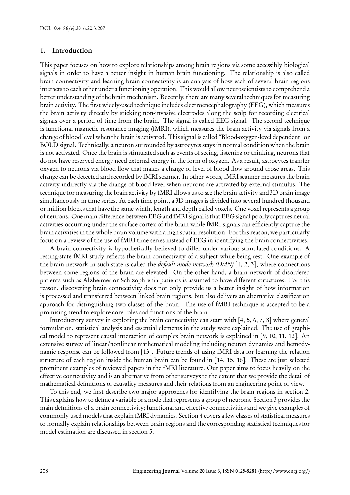# 1. Introduction

This paper focuses on how to explore relationships among brain regions via some accessibly biological signals in order to have a better insight in human brain functioning. The relationship is also called brain connectivity and learning brain connectivity is an analysis of how each of several brain regions interacts to each other under a functioning operation. This would allow neuroscientists to comprehend a better understanding of the brain mechanism. Recently, there are many several techniques for measuring brain activity. The first widely-used technique includes electroencephalography (EEG), which measures the brain activity directly by sticking non-invasive electrodes along the scalp for recording electrical signals over a period of time from the brain. The signal is called EEG signal. The second technique is functional magnetic resonance imaging (fMRI), which measures the brain activity via signals from a change of blood level when the brain is activated. This signal is called "Blood-oxygen-level dependent" or BOLD signal. Technically, a neuron surrounded by astrocytes stays in normal condition when the brain is not activated. Once the brain is stimulated such as events of seeing, listening or thinking, neurons that do not have reserved energy need external energy in the form of oxygen. As a result, astrocytes transfer oxygen to neurons via blood flow that makes a change of level of blood flow around those areas. This change can be detected and recorded by fMRI scanner. In other words, fMRI scanner measures the brain activity indirectly via the change of blood level when neurons are activated by external stimulus. The technique for measuring the brain activity by fMRI allows us to see the brain activity and 3D brain image simultaneously in time series. At each time point, a 3D images is divided into several hundred thousand or million blocks that have the same width, length and depth called voxels. One voxel represents a group of neurons. One main difference between EEG and fMRI signal is that EEG signal poorly captures neural activities occurring under the surface cortex of the brain while fMRI signals can efficiently capture the brain activities in the whole brain volume with a high spatial resolution. For this reason, we particularly focus on a review of the use of fMRI time series instead of EEG in identifying the brain connectivities.

A brain connectivity is hypothetically believed to differ under various stimulated conditions. A resting-state fMRI study reflects the brain connectivity of a subject while being rest. One example of the brain network in such state is called the *default mode network (DMN)* [1, 2, 3], where connections between some regions of the brain are elevated. On the other hand, a brain network of disordered patients such as Alzheimer or Schizophrenia patients is assumed to have different structures. For this reason, discovering brain connectivity does not only provide us a better insight of how information is processed and transferred between linked brain regions, but also delivers an alternative classification approach for distinguishing two classes of the brain. The use of fMRI technique is accepted to be a promising trend to explore core roles and functions of the brain.

Introductory survey in exploring the brain connectivity can start with [4, 5, 6, 7, 8] where general formulation, statistical analysis and essential elements in the study were explained. The use of graphical model to represent causal interaction of complex brain network is explained in [9, 10, 11, 12]. An extensive survey of linear/nonlinear mathematical modeling including neuron dynamics and hemodynamic response can be followed from [13]. Future trends of using fMRI data for learning the relation structure of each region inside the human brain can be found in [14, 15, 16]. These are just selected prominent examples of reviewed papers in the fMRI literature. Our paper aims to focus heavily on the effective connectivity and is an alternative from other surveys to the extent that we provide the detail of mathematical definitions of causality measures and their relations from an engineering point of view.

To this end, we first describe two major approaches for identifying the brain regions in section 2. This explains how to define a variable or a node that represents a group of neurons. Section 3 provides the main definitions of a brain connectivity; functional and effective connectivities and we give examples of commonly used models that explain fMRI dynamics. Section 4 covers a few classes of statistical measures to formally explain relationships between brain regions and the corresponding statistical techniques for model estimation are discussed in section 5.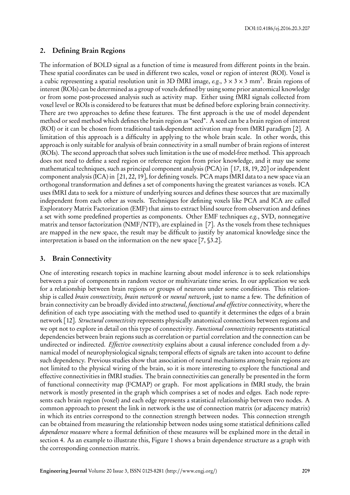# 2. Defining Brain Regions

The information of BOLD signal as a function of time is measured from different points in the brain. These spatial coordinates can be used in different two scales, voxel or region of interest (ROI). Voxel is a cubic representing a spatial resolution unit in 3D fMRI image,  $e.g.,$  3  $\times$  3  $\times$  3 mm<sup>3</sup>. Brain regions of interest (ROIs) can be determined as a group of voxels defined by using some prior anatomical knowledge or from some post-processed analysis such as activity map. Either using fMRI signals collected from voxel level or ROIs is considered to be features that must be defined before exploring brain connectivity. There are two approaches to define these features. The first approach is the use of model dependent method or seed method which defines the brain region as "seed". A seed can be a brain region of interest (ROI) or it can be chosen from traditional task-dependent activation map from fMRI paradigm [2]. A limitation of this approach is a difficulty in applying to the whole brain scale. In other words, this approach is only suitable for analysis of brain connectivity in a small number of brain regions of interest (ROIs). The second approach that solves such limitation is the use of model-free method. This approach does not need to define a seed region or reference region from prior knowledge, and it may use some mathematical techniques, such as principal component analysis (PCA) in [17, 18, 19, 20] or independent component analysis (ICA) in [21, 22, 19], for defining voxels. PCA maps fMRI data to a new space via an orthogonal transformation and defines a set of components having the greatest variances as voxels. ICA uses fMRI data to seek for a mixture of underlying sources and defines these sources that are maximally independent from each other as voxels. Techniques for defining voxels like PCA and ICA are called Exploratory Matrix Factorization (EMF) that aims to extract blind source from observation and defines a set with some predefined properties as components. Other EMF techniques *e.g.*, SVD, nonnegative matrix and tensor factorization (NMF/NTF), are explained in [7]. As the voxels from these techniques are mapped in the new space, the result may be difficult to justify by anatomical knowledge since the interpretation is based on the information on the new space [7, §3.2].

# 3. Brain Connectivity

One of interesting research topics in machine learning about model inference is to seek relationships between a pair of components in random vector or multivariate time series. In our application we seek for a relationship between brain regions or groups of neurons under some conditions. This relationship is called *brain connectivity, brain network* or *neural network*, just to name a few. The definition of brain connectivity can be broadly divided into *structural, functional and effective* connectivity, where the definition of each type associating with the method used to quantify it determines the edges of a brain network [12]. *Structural connectivity* represents physically anatomical connections between regions and we opt not to explore in detail on this type of connectivity. *Functional connectivity* represents statistical dependencies between brain regions such as correlation or partial correlation and the connection can be undirected or indirected. *Effective connectivity* explains about a causal inference concluded from a dynamical model of neurophysiological signals; temporal effects of signals are taken into account to define such dependency. Previous studies show that association of neural mechanisms among brain regions are not limited to the physical wiring of the brain, so it is more interesting to explore the functional and effective connectivities in fMRI studies. The brain connectivities can generally be presented in the form of functional connectivity map (FCMAP) or graph. For most applications in fMRI study, the brain network is mostly presented in the graph which comprises a set of nodes and edges. Each node represents each brain region (voxel) and each edge represents a statistical relationship between two nodes. A common approach to present the link in network is the use of connection matrix (or adjacency matrix) in which its entries correspond to the connection strength between nodes. This connection strength can be obtained from measuring the relationship between nodes using some statistical definitions called *dependence measure* where a formal definition of these measures will be explained more in the detail in section 4. As an example to illustrate this, Figure 1 shows a brain dependence structure as a graph with the corresponding connection matrix.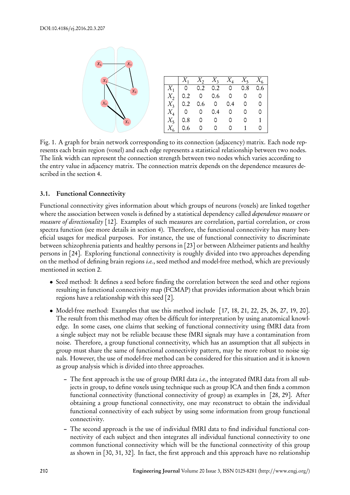

|                                                                                                                                                                                                                                                        |  | $X_1$ $X_2$ $X_3$ $X_4$ $X_5$ $X_6$ |  |
|--------------------------------------------------------------------------------------------------------------------------------------------------------------------------------------------------------------------------------------------------------|--|-------------------------------------|--|
|                                                                                                                                                                                                                                                        |  |                                     |  |
|                                                                                                                                                                                                                                                        |  |                                     |  |
|                                                                                                                                                                                                                                                        |  |                                     |  |
|                                                                                                                                                                                                                                                        |  |                                     |  |
|                                                                                                                                                                                                                                                        |  |                                     |  |
| $\begin{array}{c cccccc}\nX_1 & 0 & 0.2 & 0.2 & 0 & 0.8 & 0.6 \\ X_2 & 0.2 & 0 & 0.6 & 0 & 0 & 0 \\ X_3 & 0.2 & 0.6 & 0 & 0.4 & 0 & 0 \\ X_4 & 0 & 0 & 0.4 & 0 & 0 & 0 \\ X_5 & 0.8 & 0 & 0 & 0 & 0 & 1 \\ X_6 & 0.6 & 0 & 0 & 0 & 1 & 0\n\end{array}$ |  | $\circ$                             |  |

Fig. 1. A graph for brain network corresponding to its connection (adjacency) matrix. Each node represents each brain region (voxel) and each edge represents a statistical relationship between two nodes. The link width can represent the connection strength between two nodes which varies according to the entry value in adjacency matrix. The connection matrix depends on the dependence measures described in the section 4.

# 3.1. Functional Connectivity

Functional connectivity gives information about which groups of neurons (voxels) are linked together where the association between voxels is defined by a statistical dependency called *dependence measure* or *measure of directionality* [12]. Examples of such measures are correlation, partial correlation, or cross spectra function (see more details in section 4). Therefore, the functional connectivity has many beneficial usages for medical purposes. For instance, the use of functional connectivity to discriminate between schizophrenia patients and healthy persons in [23] or between Alzheimer patients and healthy persons in [24]. Exploring functional connectivity is roughly divided into two approaches depending on the method of defining brain regions *i.e.*, seed method and model-free method, which are previously mentioned in section 2.

- Seed method: It defines a seed before finding the correlation between the seed and other regions resulting in functional connectivity map (FCMAP) that provides information about which brain regions have a relationship with this seed [2].
- Model-free method: Examples that use this method include [17, 18, 21, 22, 25, 26, 27, 19, 20]. The result from this method may often be difficult for interpretation by using anatomical knowledge. In some cases, one claims that seeking of functional connectivity using fMRI data from a single subject may not be reliable because these fMRI signals may have a contamination from noise. Therefore, a group functional connectivity, which has an assumption that all subjects in group must share the same of functional connectivity pattern, may be more robust to noise signals. However, the use of model-free method can be considered for this situation and it is known as group analysis which is divided into three approaches.
	- The first approach is the use of group fMRI data *i.e.*, the integrated fMRI data from all subjects in group, to define voxels using technique such as group ICA and then finds a common functional connectivity (functional connectivity of group) as examples in [28, 29]. After obtaining a group functional connectivity, one may reconstruct to obtain the individual functional connectivity of each subject by using some information from group functional connectivity.
	- The second approach is the use of individual fMRI data to find individual functional connectivity of each subject and then integrates all individual functional connectivity to one common functional connectivity which will be the functional connectivity of this group as shown in [30, 31, 32]. In fact, the first approach and this approach have no relationship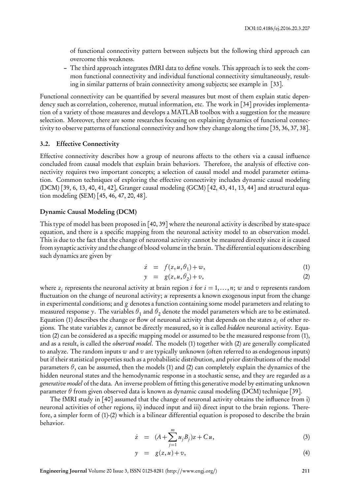of functional connectivity pattern between subjects but the following third approach can overcome this weakness.

– The third approach integrates fMRI data to define voxels. This approach is to seek the common functional connectivity and individual functional connectivity simultaneously, resulting in similar patterns of brain connectivity among subjects; see example in [33].

Functional connectivity can be quantified by several measures but most of them explain static dependency such as correlation, coherence, mutual information, etc. The work in [34] provides implementation of a variety of those measures and develops a MATLAB toolbox with a suggestion for the measure selection. Moreover, there are some researches focusing on explaining dynamics of functional connectivity to observe patterns of functional connectivity and how they change along the time [35, 36, 37, 38].

#### 3.2. Effective Connectivity

Effective connectivity describes how a group of neurons affects to the others via a causal influence concluded from causal models that explain brain behaviors. Therefore, the analysis of effective connectivity requires two important concepts; a selection of causal model and model parameter estimation. Common techniques of exploring the effective connectivity includes dynamic causal modeling (DCM) [39, 6, 13, 40, 41, 42], Granger causal modeling (GCM) [42, 43, 41, 13, 44] and structural equation modeling (SEM) [45, 46, 47, 20, 48].

#### Dynamic Causal Modeling (DCM)

This type of model has been proposed in [40, 39] where the neuronal activity is described by state-space equation, and there is a specific mapping from the neuronal activity model to an observation model. This is due to the fact that the change of neuronal activity cannot be measured directly since it is caused from synaptic activity and the change of blood volume in the brain. The differential equations describing such dynamics are given by

$$
\dot{z} = f(z, u, \theta_1) + w,\tag{1}
$$

$$
y = g(z, u, \theta_2) + v,\tag{2}
$$

where  $z_i$  represents the neuronal activity at brain region *i* for  $i = 1, ..., n$ ; *w* and *v* represents random fluctuation on the change of neuronal activity; *u* represents a known exogenous input from the change in experimental conditions; and *g* denotes a function containing some model parameters and relating to measured response *y*. The variables  $\theta_1$  and  $\theta_2$  denote the model parameters which are to be estimated. Equation (1) describes the change or flow of neuronal activity that depends on the states  $z_i$  of other regions. The state variables *z<sup>i</sup>* cannot be directly measured, so it is called *hidden* neuronal activity. Equation (2) can be considered as a specific mapping model or assumed to be the measured response from (1), and as a result, is called the *observed model*. The models (1) together with (2) are generally complicated to analyze. The random inputs *w* and *v* are typically unknown (often referred to as endogenous inputs) but if their statistical properties such as a probabilistic distribution, and prior distributions of the model parameters  $\theta$ , can be assumed, then the models (1) and (2) can completely explain the dynamics of the hidden neuronal states and the hemodynamic response in a stochastic sense, and they are regarded as a *generative model* of the data. An inverse problem of fitting this generative model by estimating unknown parameter *θ* from given observed data is known as dynamic causal modeling (DCM) technique [39].

The fMRI study in [40] assumed that the change of neuronal activity obtains the influence from i) neuronal activities of other regions, ii) induced input and iii) direct input to the brain regions. Therefore, a simpler form of (1)-(2) which is a bilinear differential equation is proposed to describe the brain behavior.

$$
\dot{z} = (A + \sum_{j=1}^{m} u_j B_j) z + C u, \tag{3}
$$

$$
y = g(z, u) + v,\tag{4}
$$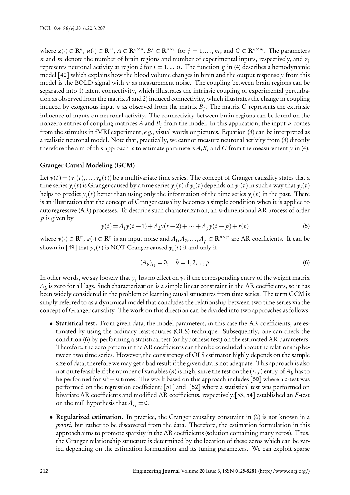where  $z(\cdot) \in \mathbb{R}^n$ ,  $u(\cdot) \in \mathbb{R}^m$ ,  $A \in \mathbb{R}^{n \times n}$ ,  $B^j \in \mathbb{R}^{n \times n}$  for  $j = 1,...,m$ , and  $C \in \mathbb{R}^{n \times m}$ . The parameters *n* and *m* denote the number of brain regions and number of experimental inputs, respectively, and *z<sup>i</sup>* represents neuronal activity at region *i* for  $i = 1, ..., n$ . The function *g* in (4) describes a hemodynamic model [40] which explains how the blood volume changes in brain and the output response *y* from this model is the BOLD signal with *v* as measurement noise. The coupling between brain regions can be separated into 1) latent connectivity, which illustrates the intrinsic coupling of experimental perturbation as observed from the matrix *A* and 2) induced connectivity, which illustrates the change in coupling induced by exogenous input *u* as observed from the matrix  $B_j$ . The matrix  $C$  represents the extrinsic influence of inputs on neuronal activity. The connectivity between brain regions can be found on the nonzero entries of coupling matrices  $A$  and  $B_j$  from the model. In this application, the input  $u$  comes from the stimulus in fMRI experiment, *e.g.*, visual words or pictures. Equation (3) can be interpreted as a realistic neuronal model. Note that, practically, we cannot measure neuronal activity from (3) directly therefore the aim of this approach is to estimate parameters  $A,B_j$  and  $C$  from the measurement  $y$  in (4).

#### Granger Causal Modeling (GCM)

Let  $y(t) = (y_1(t),..., y_n(t))$  be a multivariate time series. The concept of Granger causality states that a time series  $y_i(t)$  is Granger-caused by a time series  $y_j(t)$  if  $y_i(t)$  depends on  $y_j(t)$  in such a way that  $y_j(t)$ helps to predict  $y_i(t)$  better than using only the information of the time series  $y_i(t)$  in the past. There is an illustration that the concept of Granger causality becomes a simple condition when it is applied to autoregressive (AR) processes. To describe such characterization, an *n*-dimensional AR process of order *p* is given by

$$
y(t) = A_1 y(t-1) + A_2 y(t-2) + \dots + A_p y(t-p) + \varepsilon(t)
$$
\n(5)

where  $y(\cdot) \in \mathbb{R}^n$ ,  $\varepsilon(\cdot) \in \mathbb{R}^n$  is an input noise and  $A_1, A_2, \ldots, A_p \in \mathbb{R}^{n \times n}$  are AR coefficients. It can be shown in [49] that  $y_j(t)$  is NOT Granger-caused  $y_i(t)$  if and only if

$$
(A_k)_{ij} = 0, \quad k = 1, 2, ..., p
$$
 (6)

In other words, we say loosely that  $y_j$  has no effect on  $y_i$  if the corresponding entry of the weight matrix  $A_k$  is zero for all lags. Such characterization is a simple linear constraint in the AR coefficients, so it has been widely considered in the problem of learning causal structures from time series. The term GCM is simply referred to as a dynamical model that concludes the relationship between two time series via the concept of Granger causality. The work on this direction can be divided into two approaches as follows.

- Statistical test. From given data, the model parameters, in this case the AR coefficients, are estimated by using the ordinary least-squares (OLS) technique. Subsequently, one can check the condition (6) by performing a statistical test (or hypothesis test) on the estimated AR parameters. Therefore, the zero pattern in the AR coefficients can then be concluded about the relationship between two time series. However, the consistency of OLS estimator highly depends on the sample size of data, therefore we may get a bad result if the given data is not adequate. This approach is also not quite feasible if the number of variables (*n*) is high, since the test on the  $(i, j)$  entry of  $A_k$  has to be performed for *n* <sup>2</sup> *− n* times. The work based on this approach includes [50] where a *t*-test was performed on the regression coefficient; [51] and [52] where a statistical test was performed on bivariate AR coefficients and modified AR coefficients, respectively;[53, 54] established an *F* -test on the null hypothesis that  $A_{ij} = 0$ .
- Regularized estimation. In practice, the Granger causality constraint in (6) is not known in a *priori*, but rather to be discovered from the data. Therefore, the estimation formulation in this approach aims to promote sparsity in the AR coefficients (solution containing many zeros). Thus, the Granger relationship structure is determined by the location of these zeros which can be varied depending on the estimation formulation and its tuning parameters. We can exploit sparse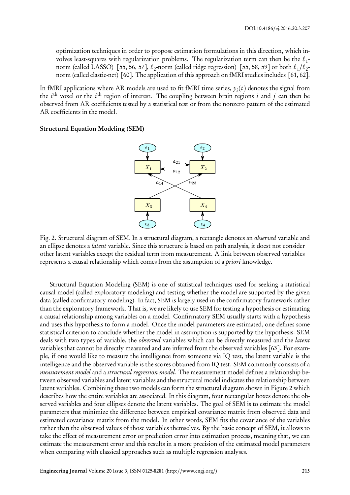optimization techniques in order to propose estimation formulations in this direction, which involves least-squares with regularization problems. The regularization term can then be the *ℓ*<sup>1</sup> norm (called LASSO) [55, 56, 57], *ℓ*<sup>2</sup> -norm (called ridge regression) [55, 58, 59] or both *ℓ*<sup>1</sup> */ℓ*<sup>2</sup> norm (called elastic-net) [60]. The application of this approach on fMRI studies includes [61, 62].

In fMRI applications where AR models are used to fit fMRI time series,  $y_i(t)$  denotes the signal from the  $i^{\text{th}}$  voxel or the  $i^{\text{th}}$  region of interest. The coupling between brain regions  $i$  and  $j$  can then be observed from AR coefficients tested by a statistical test or from the nonzero pattern of the estimated AR coefficients in the model.

Structural Equation Modeling (SEM)



Fig. 2. Structural diagram of SEM. In a structural diagram, a rectangle denotes an *observed* variable and an ellipse denotes a *latent* variable. Since this structure is based on path analysis, it doest not consider other latent variables except the residual term from measurement. A link between observed variables represents a causal relationship which comes from the assumption of a *priori* knowledge.

Structural Equation Modeling (SEM) is one of statistical techniques used for seeking a statistical causal model (called exploratory modeling) and testing whether the model are supported by the given data (called confirmatory modeling). In fact, SEM is largely used in the confirmatory framework rather than the exploratory framework. That is, we are likely to use SEM for testing a hypothesis or estimating a causal relationship among variables on a model. Confirmatory SEM usually starts with a hypothesis and uses this hypothesis to form a model. Once the model parameters are estimated, one defines some statistical criterion to conclude whether the model in assumption is supported by the hypothesis. SEM deals with two types of variable, the *observed* variables which can be directly measured and the *latent* variables that cannot be directly measured and are inferred from the observed variables [63]. For example, if one would like to measure the intelligence from someone via IQ test, the latent variable is the intelligence and the observed variable is the scores obtained from IQ test. SEM commonly consists of a *measurement model* and a *structural regression model*. The measurement model defines a relationship between observed variables and latent variables and the structural model indicates the relationship between latent variables. Combining these two models can form the structural diagram shown in Figure 2 which describes how the entire variables are associated. In this diagram, four rectangular boxes denote the observed variables and four ellipses denote the latent variables. The goal of SEM is to estimate the model parameters that minimize the difference between empirical covariance matrix from observed data and estimated covariance matrix from the model. In other words, SEM fits the covariance of the variables rather than the observed values of those variables themselves. By the basic concept of SEM, it allows to take the effect of measurement error or prediction error into estimation process, meaning that, we can estimate the measurement error and this results in a more precision of the estimated model parameters when comparing with classical approaches such as multiple regression analyses.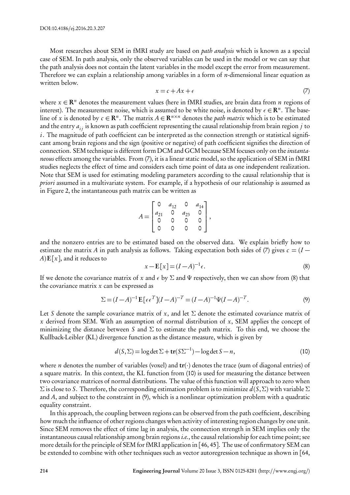Most researches about SEM in fMRI study are based on *path analysis* which is known as a special case of SEM. In path analysis, only the observed variables can be used in the model or we can say that the path analysis does not contain the latent variables in the model except the error from measurement. Therefore we can explain a relationship among variables in a form of *n*-dimensional linear equation as written below.

$$
x = c + Ax + \epsilon \tag{7}
$$

where *x ∈* R *<sup>n</sup>* denotes the measurement values (here in fMRI studies, are brain data from *n* regions of interest). The measurement noise, which is assumed to be white noise, is denoted by  $\epsilon \in \mathbb{R}^n$ . The baseline of *x* is denoted by  $c \in \mathbb{R}^n$ . The matrix  $A \in \mathbb{R}^{n \times n}$  denotes the *path matrix* which is to be estimated and the entry  $a_i$  is known as path coefficient representing the causal relationship from brain region *j* to *i*. The magnitude of path coefficient can be interpreted as the connection strength or statistical significant among brain regions and the sign (positive or negative) of path coefficient signifies the direction of connection. SEM technique is different form DCM and GCM because SEM focuses only on the *instantaneous* effects among the variables. From (7), it is a linear static model, so the application of SEM in fMRI studies neglects the effect of time and considers each time point of data as one independent realization. Note that SEM is used for estimating modeling parameters according to the causal relationship that is *priori* assumed in a multivariate system. For example, if a hypothesis of our relationship is assumed as in Figure 2, the instantaneous path matrix can be written as

$$
A = \begin{bmatrix} 0 & a_{12} & 0 & a_{14} \\ a_{21} & 0 & a_{23} & 0 \\ 0 & 0 & 0 & 0 \\ 0 & 0 & 0 & 0 \end{bmatrix},
$$

and the nonzero entries are to be estimated based on the observed data. We explain briefly how to estimate the matrix *A* in path analysis as follows. Taking expectation both sides of (7) gives  $c = (I A$ )**E**[ $x$ ], and it reduces to

$$
x - \mathbf{E}[x] = (I - A)^{-1} \epsilon. \tag{8}
$$

If we denote the covariance matrix of *x* and  $\epsilon$  by  $\Sigma$  and  $\Psi$  respectively, then we can show from (8) that the covariance matrix *x* can be expressed as

$$
\Sigma = (I - A)^{-1} \mathbf{E} \left[ \epsilon \epsilon^T \right] (I - A)^{-T} = (I - A)^{-1} \Psi (I - A)^{-T}.
$$
\n(9)

Let *S* denote the sample covariance matrix of *x*, and let  $\Sigma$  denote the estimated covariance matrix of *x* derived from SEM. With an assumption of normal distribution of *x*, SEM applies the concept of minimizing the distance between *S* and *Σ* to estimate the path matrix. To this end, we choose the Kullback-Leibler (KL) divergence function as the distance measure, which is given by

$$
d(S, \Sigma) = \log \det \Sigma + \mathbf{tr}(S\Sigma^{-1}) - \log \det S - n,\tag{10}
$$

where *n* denotes the number of variables (voxel) and  $tr(\cdot)$  denotes the trace (sum of diagonal entries) of a square matrix. In this context, the KL function from (10) is used for measuring the distance between two covariance matrices of normal distributions. The value of this function will approach to zero when *Σ* is close to *S*. Therefore, the corresponding estimation problem is to minimize *d*(*S*,*Σ*) with variable *Σ* and *A*, and subject to the constraint in (9), which is a nonlinear optimization problem with a quadratic equality constraint.

In this approach, the coupling between regions can be observed from the path coefficient, describing how much the influence of other regions changes when activity of interesting region changes by one unit. Since SEM removes the effect of time lag in analysis, the connection strength in SEM implies only the instantaneous causal relationship among brain regions *i.e.*, the causal relationship for each time point; see more details for the principle of SEM for fMRI application in [46, 45]. The use of confirmatory SEM can be extended to combine with other techniques such as vector autoregression technique as shown in [64,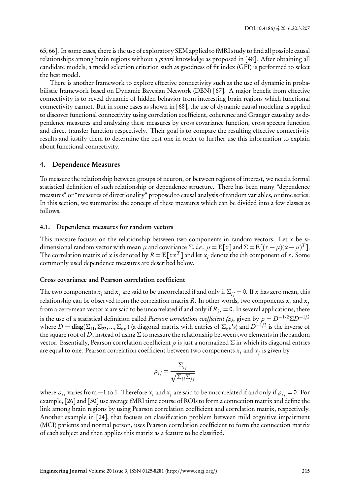65, 66]. In some cases, there is the use of exploratory SEM applied to fMRI study to find all possible causal relationships among brain regions without a *priori* knowledge as proposed in [48]. After obtaining all candidate models, a model selection criterion such as goodness of fit index (GFI) is performed to select the best model.

There is another framework to explore effective connectivity such as the use of dynamic in probabilistic framework based on Dynamic Bayesian Network (DBN) [67]. A major benefit from effective connectivity is to reveal dynamic of hidden behavior from interesting brain regions which functional connectivity cannot. But in some cases as shown in [68], the use of dynamic causal modeling is applied to discover functional connectivity using correlation coefficient, coherence and Granger causality as dependence measures and analyzing these measures by cross covariance function, cross spectra function and direct transfer function respectively. Their goal is to compare the resulting effective connectivity results and justify them to determine the best one in order to further use this information to explain about functional connectivity.

#### 4. Dependence Measures

To measure the relationship between groups of neuron, or between regions of interest, we need a formal statistical definition of such relationship or dependence structure. There has been many "dependence measures" or "measures of directionality" proposed to causal analysis of random variables, or time series. In this section, we summarize the concept of these measures which can be divided into a few classes as follows.

#### 4.1. Dependence measures for random vectors

This measure focuses on the relationship between two components in random vectors. Let *x* be *n*dimensional random vector with mean  $\mu$  and covariance  $\Sigma$ , *i.e.*,  $\mu = \mathbf{E}[x]$  and  $\Sigma = \mathbf{E}[(x - \mu)(x - \mu)^T]$ . The correlation matrix of *x* is denoted by  $R = \mathbf{E}[xx^T]$  and let  $x_i$  denote the *i*th component of *x*. Some commonly used dependence measures are described below.

#### Cross covariance and Pearson correlation coefficient

The two components  $x_i$  and  $x_j$  are said to be uncorrelated if and only if  $\Sigma_{ij}$  = 0. If  $x$  has zero mean, this relationship can be observed from the correlation matrix  $R.$  In other words, two components  $x_i$  and  $x_j$ from a zero-mean vector *x* are said to be uncorrelated if and only if  $R_{ij} = 0$ . In several applications, there is the use of a statistical definition called *Pearson correlation coefficient* (*ρ*), given by  $\rho = D^{-1/2} \Sigma D^{-1/2}$ where  $D = diag(\Sigma_{11}, \Sigma_{22}, ..., \Sigma_{nn})$  (a diagonal matrix with entries of  $\Sigma_{kk}$ 's) and  $D^{-1/2}$  is the inverse of the square root of *D*, instead of using *Σ* to measure the relationship between two elements in the random vector. Essentially, Pearson correlation coefficient *ρ* is just a normalized *Σ* in which its diagonal entries are equal to one. Pearson correlation coefficient between two components  $x_i$  and  $x_j$  is given by

$$
\rho_{ij} = \frac{\Sigma_{ij}}{\sqrt{\Sigma_{ii}\Sigma_{jj}}}
$$

where  $\rho_{ij}$  varies from  $-1$  to 1. Therefore  $x_i$  and  $x_j$  are said to be uncorrelated if and only if  $\rho_{ij}$  = 0. For example, [26] and [30] use average fMRI time course of ROIs to form a connection matrix and define the link among brain regions by using Pearson correlation coefficient and correlation matrix, respectively. Another example in [24], that focuses on classification problem between mild cognitive impairment (MCI) patients and normal person, uses Pearson correlation coefficient to form the connection matrix of each subject and then applies this matrix as a feature to be classified.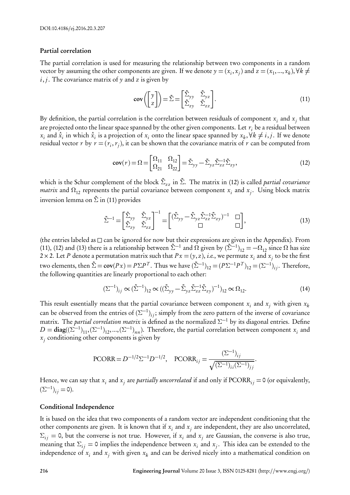#### Partial correlation

The partial correlation is used for measuring the relationship between two components in a random vector by assuming the other components are given. If we denote  $y = (x_i, x_j)$  and  $z = (x_1, ..., x_k)$ ,  $\forall k \neq j$ *i*, *j*. The covariance matrix of *y* and *z* is given by

$$
\operatorname{cov}\left(\begin{bmatrix}y\\z\end{bmatrix}\right) = \tilde{\Sigma} = \begin{bmatrix}\tilde{\Sigma}_{yy} & \tilde{\Sigma}_{yz}\\ \tilde{\Sigma}_{zy} & \tilde{\Sigma}_{zz}\end{bmatrix}.
$$
\n(11)

By definition, the partial correlation is the correlation between residuals of component  $x_i$  and  $x_j$  that are projected onto the linear space spanned by the other given components. Let  $r_i$  be a residual between  $x_i$  and  $\hat{x}_i$  in which  $\hat{x}_i$  is a projection of  $x_i$  onto the linear space spanned by  $x_k, \forall k \neq i, j$ . If we denote residual vector  $r$  by  $r = (r_i, r_j)$ , it can be shown that the covariance matrix of  $r$  can be computed from

$$
\mathbf{cov}(r) = \Omega = \begin{bmatrix} \Omega_{11} & \Omega_{12} \\ \Omega_{21} & \Omega_{22} \end{bmatrix} = \tilde{\Sigma}_{yy} - \tilde{\Sigma}_{yz} \tilde{\Sigma}_{zz}^{-1} \tilde{\Sigma}_{zy},\tag{12}
$$

which is the Schur complement of the block *Σ*˜ *z z* in *<sup>Σ</sup>*˜. The matrix in (12) is called *partial covariance matrix* and  $\Omega_{12}$  represents the partial covariance between component  $x_i$  and  $x_j$ . Using block matrix inversion lemma on *Σ*˜ in (11) provides

$$
\tilde{\Sigma}^{-1} = \begin{bmatrix} \tilde{\Sigma}_{yy} & \tilde{\Sigma}_{yz} \\ \tilde{\Sigma}_{zy} & \tilde{\Sigma}_{zz} \end{bmatrix}^{-1} = \begin{bmatrix} (\tilde{\Sigma}_{yy} - \tilde{\Sigma}_{yz} \tilde{\Sigma}_{zz}^{-1} \tilde{\Sigma}_{zy})^{-1} & \square \\ \square & \square \end{bmatrix},
$$
\n(13)

(the entries labeled as  $\Box$  can be ignored for now but their expressions are given in the Appendix). From (11), (12) and (13) there is a relationship between  $\tilde{\Sigma}^{-1}$  and  $\Omega$  given by  $(\tilde{\Sigma}^{-1})_{12} = -\Omega_{12}$  since  $\Omega$  has size 2 × 2. Let *P* denote a permutation matrix such that  $Px = (y, z)$ , *i.e*., we permute  $x_i$  and  $x_j$  to be the first two elements, then  $\tilde{\Sigma} = \text{cov}(Px) = P\Sigma P^T$ . Thus we have  $(\tilde{\Sigma}^{-1})_{12} = (P\Sigma^{-1}P^T)_{12} = (\Sigma^{-1})_{ij}$ . Therefore, the following quantities are linearly proportional to each other:

$$
(\Sigma^{-1})_{ij} \propto (\tilde{\Sigma}^{-1})_{12} \propto ((\tilde{\Sigma}_{yy} - \tilde{\Sigma}_{yz} \tilde{\Sigma}_{zz}^{-1} \tilde{\Sigma}_{zy})^{-1})_{12} \propto \Omega_{12}.
$$
 (14)

This result essentially means that the partial covariance between component  $x_i$  and  $x_j$  with given  $x_k$ can be observed from the entries of  $(\Sigma^{-1})_{ij}$ ; simply from the zero pattern of the inverse of covariance matrix. The *partial correlation matrix* is defined as the normalized *Σ <sup>−</sup>*<sup>1</sup> by its diagonal entries. Define  $D = diag((\Sigma^{-1})_{11}, (\Sigma^{-1})_{12}, ..., (\Sigma^{-1})_{nn})$ . Therefore, the partial correlation between component *x<sub>i</sub>* and *xj* conditioning other components is given by

PCORR = 
$$
D^{-1/2}\Sigma^{-1}D^{-1/2}
$$
, PCORR<sub>ij</sub> =  $\frac{(\Sigma^{-1})_{ij}}{\sqrt{(\Sigma^{-1})_{ii}(\Sigma^{-1})_{jj}}}$ .

Hence, we can say that  $x_i$  and  $x_j$  are *partially uncorrelated* if and only if  $\text{PCORR}_{ij}$  = 0 (or equivalently,  $(\Sigma^{-1})_{ij} = 0$ ).

#### Conditional Independence

It is based on the idea that two components of a random vector are independent conditioning that the other components are given. It is known that if  $x_i$  and  $x_j$  are independent, they are also uncorrelated, *Σ*<sub>*ij*</sub> = 0, but the converse is not true. However, if *x*<sup>*i*</sup> and *x*<sub>*j*</sub> are Gaussian, the converse is also true, meaning that  $\Sigma_{ij} = 0$  implies the independence between  $x_i$  and  $x_j$ . This idea can be extended to the independence of  $x_i$  and  $x_j$  with given  $x_k$  and can be derived nicely into a mathematical condition on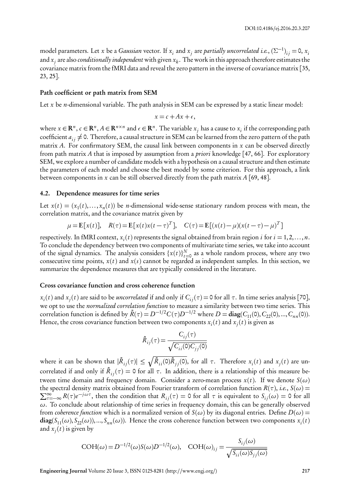model parameters. Let *x* be a *Gaussian* vector. If  $x_i$  and  $x_j$  are *partially uncorrelated i.e.*,  $(\Sigma^{-1})_{ij} = 0$ ,  $x_i$ and *x<sup>j</sup>* are also *conditionally independent* with given *x<sup>k</sup>* . The work in this approach therefore estimates the covariance matrix from the fMRI data and reveal the zero pattern in the inverse of covariance matrix [35, 23, 25].

#### Path coefficient or path matrix from SEM

Let *x* be *n*-dimensional variable. The path analysis in SEM can be expressed by a static linear model:

$$
x = c + Ax + \epsilon,
$$

where  $x \in \mathbb{R}^n$ ,  $c \in \mathbb{R}^n$ ,  $A \in \mathbb{R}^{n \times n}$  and  $\epsilon \in \mathbb{R}^n$ . The variable  $x_j$  has a cause to  $x_i$  if the corresponding path coefficient  $a_{ij} \neq 0$ . Therefore, a causal structure in SEM can be learned from the zero pattern of the path matrix *A*. For confirmatory SEM, the causal link between components in *x* can be observed directly from path matrix *A* that is imposed by assumption from a *priori* knowledge [47, 66]. For exploratory SEM, we explore a number of candidate models with a hypothesis on a causal structure and then estimate the parameters of each model and choose the best model by some criterion. For this approach, a link between components in *x* can be still observed directly from the path matrix *A* [69, 48].

#### 4.2. Dependence measures for time series

Let  $x(t) = (x_1(t),...,x_n(t))$  be *n*-dimensional wide-sense stationary random process with mean, the correlation matrix, and the covariance matrix given by

$$
\mu = \mathbf{E}[x(t)], \quad R(\tau) = \mathbf{E}[x(t)x(t-\tau)^{T}], \quad C(\tau) = \mathbf{E}[(x(t)-\mu)(x(t-\tau)-\mu)^{T}]
$$

respectively. In fMRI context,  $x_i(t)$  represents the signal obtained from brain region *i* for  $i = 1, 2, ..., n$ . To conclude the dependency between two components of multivariate time series, we take into account of the signal dynamics. The analysis considers  $\{x(t)\}_{t=0}^N$  as a whole random process, where any two consecutive time points,  $x(t)$  and  $x(s)$  cannot be regarded as independent samples. In this section, we summarize the dependence measures that are typically considered in the literature.

#### Cross covariance function and cross coherence function

*xi* (*t*) and *x<sup>j</sup>* (*t*) are said to be *uncorrelated* if and only if *Ci j*(*τ*) = 0 for all *τ*. In time series analysis [70], we opt to use the *normalized correlation function* to measure a similarity between two time series. This correlation function is defined by  $\tilde{R}(\tau) = D^{-1/2}C(\tau)D^{-1/2}$  where  $D = \text{diag}(C_{11}(0), C_{22}(0), ..., C_{nn}(0)).$ Hence, the cross covariance function between two components  $x_i(t)$  and  $x_j(t)$  is given as

$$
\tilde{R}_{ij}(\tau) = \frac{C_{ij}(\tau)}{\sqrt{C_{ii}(0)C_{jj}(0)}}
$$

where it can be shown that  $|\tilde{R}_{ij}(\tau)| \leq \sqrt{\tilde{R}_{ii}(0)\tilde{R}_{jj}(0)}$ , for all  $\tau$ . Therefore  $x_i(t)$  and  $x_j(t)$  are uncorrelated if and only if  $\tilde{R}_{ij}(\tau)=$  0 for all  $\tau$ . In addition, there is a relationship of this measure between time domain and frequency domain. Consider a zero-mean process  $x(t)$ . If we denote  $S(\omega)$ the spectral density matrix obtained from Fourier transform of correlation function  $R(\tau)$ , *i.e.*,  $S(\omega)$  =  $\sum_{\tau=-\infty}^{\infty} R(\tau) e^{-j\omega\tau}$ , then the condition that  $R_{ij}(\tau) = 0$  for all  $\tau$  is equivalent to  $S_{ij}(\omega) = 0$  for all *ω*. To conclude about relationship of time series in frequency domain, this can be generally observed from *coherence function* which is a normalized version of  $S(\omega)$  by its diagonal entries. Define  $D(\omega)$  =  $\text{diag}(S_{11}(\omega),S_{22}(\omega)),...,S_{nn}(\omega)).$  Hence the cross coherence function between two components  $x_i(t)$ and  $x_j(t)$  is given by

$$
COH(\omega) = D^{-1/2}(\omega)S(\omega)D^{-1/2}(\omega), \quad COH(\omega)_{ij} = \frac{S_{ij}(\omega)}{\sqrt{S_{ii}(\omega)S_{jj}(\omega)}}
$$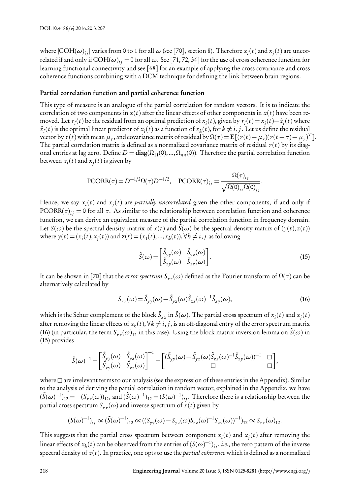where  $|COH(\omega)_{ij}|$  varies from 0 to 1 for all  $\omega$  (see [70], section 8). Therefore  $x_i(t)$  and  $x_j(t)$  are uncorrelated if and only if  $\text{COH}(\omega)_{ij}$  = 0 for all  $\omega.$  See [71, 72, 34] for the use of cross coherence function for learning functional connectivity and see [68] for an example of applying the cross covariance and cross coherence functions combining with a DCM technique for defining the link between brain regions.

# Partial correlation function and partial coherence function

This type of measure is an analogue of the partial correlation for random vectors. It is to indicate the correlation of two components in  $x(t)$  after the linear effects of other components in  $x(t)$  have been removed. Let  $r_i(t)$  be the residual from an optimal prediction of  $x_i(t)$ , given by  $r_i(t) = x_i(t) - \hat{x}_i(t)$  where  $\hat{x}_i(t)$  is the optimal linear predictor of  $x_i(t)$  as a function of  $x_k(t)$ , for  $k \neq i, j$ . Let us define the residual vector by  $r(t)$  with mean  $\mu_r$ , and covariance matrix of residual by  $\Omega(\tau) = \mathbf{E}[(r(t) - \mu_r)(r(t-\tau) - \mu_r)^T]$ . The partial correlation matrix is defined as a normalized covariance matrix of residual  $r(t)$  by its diagonal entries at lag zero. Define  $D = diag(\Omega_{11}(0),...,\Omega_{nn}(0))$ . Therefore the partial correlation function between  $x_i(t)$  and  $x_j(t)$  is given by

$$
\text{PCORR}(\tau) = D^{-1/2} \Omega(\tau) D^{-1/2}, \quad \text{PCORR}(\tau)_{ij} = \frac{\Omega(\tau)_{ij}}{\sqrt{\Omega(0)_{ii} \Omega(0)_{jj}}}.
$$

Hence, we say  $x_i(t)$  and  $x_j(t)$  are *partially uncorrelated* given the other components, if and only if  $\text{PCORR}(\tau)_{ij}=$  0 for all  $\tau.$  As similar to the relationship between correlation function and coherence function, we can derive an equivalent measure of the partial correlation function in frequency domain. Let  $S(\omega)$  be the spectral density matrix of  $x(t)$  and  $\tilde{S}(\omega)$  be the spectral density matrix of  $(y(t), z(t))$ where  $y(t) = (x_i(t), x_j(t))$  and  $z(t) = (x_1(t), ..., x_k(t)), \forall k \neq i, j$  as following

$$
\tilde{S}(\omega) = \begin{bmatrix} \tilde{S}_{yy}(\omega) & \tilde{S}_{yz}(\omega) \\ \tilde{S}_{zy}(\omega) & \tilde{S}_{zz}(\omega) \end{bmatrix} .
$$
\n(15)

It can be shown in [70] that the *error spectrum Sr r* (*ω*) defined as the Fourier transform of *Ω*(*τ*) can be alternatively calculated by

$$
S_{rr}(\omega) = \tilde{S}_{yy}(\omega) - \tilde{S}_{yz}(\omega)\tilde{S}_{zz}(\omega)^{-1}\tilde{S}_{zy}(\omega),
$$
\n(16)

which is the Schur complement of the block  $\tilde{S}_{zz}$  in  $\tilde{S}(\omega)$ . The partial cross spectrum of  $x_i(t)$  and  $x_j(t)$ after removing the linear effects of  $x_k(t), \forall k \neq i, j$  , is an off-diagonal entry of the error spectrum matrix (16) (in particular, the term  $S_{rr}(\omega)_{12}$  in this case). Using the block matrix inversion lemma on  $\tilde{S}(\omega)$  in (15) provides

$$
\tilde{S}(\omega)^{-1}\!=\!\begin{bmatrix}\tilde{S}_{\boldsymbol{y}\boldsymbol{y}}(\omega) & \tilde{S}_{\boldsymbol{y}\boldsymbol{z}}(\omega)\\ \tilde{S}_{\boldsymbol{z}\boldsymbol{y}}(\omega) & \tilde{S}_{\boldsymbol{z}\boldsymbol{z}}(\omega)\end{bmatrix}^{-1}\!=\!\begin{bmatrix}\big(\tilde{S}_{\boldsymbol{y}\boldsymbol{y}}(\omega)-\tilde{S}_{\boldsymbol{y}\boldsymbol{z}}(\omega)\tilde{S}_{\boldsymbol{z}\boldsymbol{z}}(\omega)^{-1}\tilde{S}_{\boldsymbol{z}\boldsymbol{y}}(\omega)\big)^{-1} & \square\\ \square & \square\end{bmatrix}\!,
$$

where  $\Box$  are irrelevant terms to our analysis (see the expression of these entries in the Appendix). Similar to the analysis of deriving the partial correlation in random vector, explained in the Appendix, we have  $(\tilde{S}(\omega)^{-1})_{12}=-(S_{rr}(\omega))_{12}$ , and  $(\tilde{S}(\omega)^{-1})_{12}=(S(\omega)^{-1})_{ij}.$  Therefore there is a relationship between the partial cross spectrum  $S_{rr}(\omega)$  and inverse spectrum of  $x(t)$  given by

$$
(S(\omega)^{-1})_{ij} \propto (\tilde{S}(\omega)^{-1})_{12} \propto ((S_{yy}(\omega) - S_{yz}(\omega)S_{zz}(\omega)^{-1}S_{zy}(\omega))^{-1})_{12} \propto S_{rr}(\omega)_{12}.
$$

This suggests that the partial cross spectrum between component  $x_i(t)$  and  $x_j(t)$  after removing the linear effects of  $x_k(t)$  can be observed from the entries of  $(S(\omega)^{-1})_{ij},$  *i.e.*, the zero pattern of the inverse spectral density of *x*(*t*). In practice, one opts to use the *partial coherence* which is defined as a normalized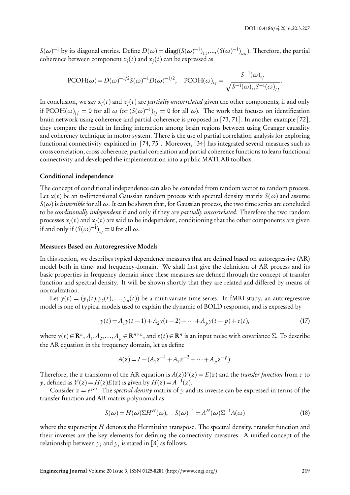*S*( $ω$ )<sup>−1</sup> by its diagonal entries. Define *D*( $ω$ ) = diag((*S*( $ω$ )<sup>−1</sup>)<sub>11</sub>,...,(*S*( $ω$ )<sup>−1</sup>)<sub>*nn*</sub>). Therefore, the partial coherence between component  $x_i(t)$  and  $x_j(t)$  can be expressed as

$$
\text{PCOH}(\omega) = D(\omega)^{-1/2} S(\omega)^{-1} D(\omega)^{-1/2}, \quad \text{PCOH}(\omega)_{ij} = \frac{S^{-1}(\omega)_{ij}}{\sqrt{S^{-1}(\omega)_{ii} S^{-1}(\omega)_{jj}}}.
$$

In conclusion, we say  $x_i(t)$  and  $x_j(t)$  are *partially uncorrelated* given the other components, if and only if PCOH( $\omega$ )<sub>ij</sub> = 0 for all  $\omega$  (or  $(S(\omega)^{-1})_{ij} = 0$  for all  $\omega$ ). The work that focuses on identification brain network using coherence and partial coherence is proposed in [73, 71]. In another example [72], they compare the result in finding interaction among brain regions between using Granger causality and coherency technique in motor system. There is the use of partial correlation analysis for exploring functional connectivity explained in [74, 75]. Moreover, [34] has integrated several measures such as cross correlation, cross coherence, partial correlation and partial coherence functions to learn functional connectivity and developed the implementation into a public MATLAB toolbox.

#### Conditional independence

The concept of conditional independence can also be extended from random vector to random process. Let  $x(t)$  be an *n*-dimensional Gaussian random process with spectral density matrix  $S(\omega)$  and assume  $S(\omega)$  is *invertible* for all  $\omega$ . It can be shown that, for Gaussian process, the two time series are concluded to be *conditionally independent* if and only if they are *partially uncorrelated*. Therefore the two random processes  $x_i(t)$  and  $x_j(t)$  are said to be independent, conditioning that the other components are given if and only if  $(S(\omega)^{-1})_{ij} = 0$  for all  $\omega$ .

#### Measures Based on Autoregressive Models

In this section, we describes typical dependence measures that are defined based on autoregressive (AR) model both in time- and frequency-domain. We shall first give the definition of AR process and its basic properties in frequency domain since these measures are defined through the concept of transfer function and spectral density. It will be shown shortly that they are related and differed by means of normalization.

Let  $y(t) = (y_1(t), y_2(t),..., y_n(t))$  be a multivariate time series. In fMRI study, an autoregressive model is one of typical models used to explain the dynamic of BOLD responses, and is expressed by

$$
y(t) = A_1 y(t-1) + A_2 y(t-2) + \dots + A_p y(t-p) + \varepsilon(t),
$$
\n(17)

where  $y(t) \in \mathbb{R}^n$ ,  $A_1, A_2, ..., A_p \in \mathbb{R}^{n \times n}$ , and  $\varepsilon(t) \in \mathbb{R}^n$  is an input noise with covariance  $\Sigma$ . To describe the AR equation in the frequency domain, let us define

$$
A(z) = I - (A_1 z^{-1} + A_2 z^{-2} + \dots + A_p z^{-p}).
$$

Therefore, the *z* transform of the AR equation is  $A(z)Y(z) = E(z)$  and the *transfer function* from  $\varepsilon$  to *y*, defined as  $Y(z) = H(z)E(z)$  is given by  $H(z) = A^{-1}(z)$ .

Consider  $z = e^{j\omega}$ . The *spectral density* matrix of *y* and its inverse can be expressed in terms of the transfer function and AR matrix polynomial as

$$
S(\omega) = H(\omega)\Sigma H^{H}(\omega), \quad S(\omega)^{-1} = A^{H}(\omega)\Sigma^{-1}A(\omega)
$$
\n(18)

where the superscript *H* denotes the Hermittian transpose. The spectral density, transfer function and their inverses are the key elements for defining the connectivity measures. A unified concept of the relationship between  $y_i$  and  $y_j$  is stated in [8] as follows.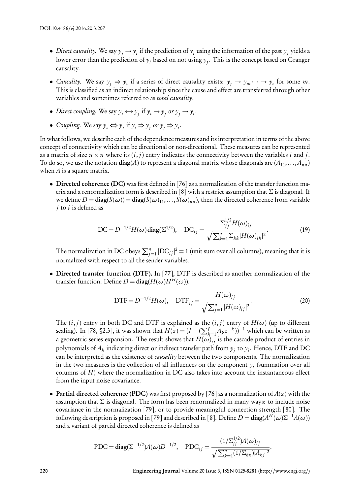- *Direct causality*. We say  $y_j \to y_i$  if the prediction of  $y_i$  using the information of the past  $y_j$  yields a lower error than the prediction of  $y_i$  based on not using  $y_j.$  This is the concept based on Granger causality.
- *Causality*. We say  $y_j \Rightarrow y_i$  if a series of direct causality exists:  $y_j \rightarrow y_m \cdots \rightarrow y_i$  for some *m*. This is classified as an indirect relationship since the cause and effect are transferred through other variables and sometimes referred to as *total causality*.
- *Direct coupling.* We say  $y_i \leftrightarrow y_j$  if  $y_i \rightarrow y_j$  or  $y_j \rightarrow y_i$ .
- *Coupling.* We say  $y_i$  ⇔  $y_j$  if  $y_i$  ⇒  $y_j$  *or*  $y_j$  ⇒  $y_i$ .

In what follows, we describe each of the dependence measures and its interpretation in terms of the above concept of connectivity which can be directional or non-directional. These measures can be represented as a matrix of size  $n \times n$  where its  $(i, j)$  entry indicates the connectivity between the variables *i* and *j*. To do so, we use the notation  $diag(A)$  to represent a diagonal matrix whose diagonals are  $(A_{11},...,A_{nn})$ when *A* is a square matrix.

• Directed coherence (DC) was first defined in [76] as a normalization of the transfer function matrix and a renormalization form is described in [8] with a restrict assumption that *Σ* is diagonal. If we define  $D = diag(S(\omega)) = diag(S(\omega)_{11},...,S(\omega)_{nn})$ , then the directed coherence from variable *j* to *i* is defined as

DC = 
$$
D^{-1/2}H(\omega) \text{diag}(\Sigma^{1/2}), \quad DC_{ij} = \frac{\Sigma_{jj}^{1/2}H(\omega)_{ij}}{\sqrt{\sum_{k=1}^{n}\Sigma_{kk}|H(\omega)_{ik}|^2}}.
$$
 (19)

The normalization in DC obeys  $\sum_{j=1}^{n} |DC_{ij}|^2 = 1$  (unit sum over all columns), meaning that it is normalized with respect to all the sender variables.

*•* Directed transfer function (DTF). In [77], DTF is described as another normalization of the transfer function. Define  $D = diag(H(\omega)H^H(\omega))$ .

$$
DTF = D^{-1/2}H(\omega), \quad DTF_{ij} = \frac{H(\omega)_{ij}}{\sqrt{\sum_{j=1}^{n} |H(\omega)_{ij}|^{2}}}.
$$
\n(20)

The  $(i, j)$  entry in both DC and DTF is explained as the  $(i, j)$  entry of  $H(\omega)$  (up to different scaling). In [78, §2.3], it was shown that  $H(z) = (I - (\sum_{k=1}^{p} A_k z^{-k}))^{-1}$  which can be written as a geometric series expansion. The result shows that  $H(\omega)_{ij}$  is the cascade product of entries in polynomials of  $A_k$  indicating direct or indirect transfer path from  $y_j$  to  $y_i$ . Hence, DTF and DC can be interpreted as the existence of *causality* between the two components. The normalization in the two measures is the collection of all influences on the component  $y_i$  (summation over all columns of *H*) where the normalization in DC also takes into account the instantaneous effect from the input noise covariance.

*•* Partial directed coherence (PDC) was first proposed by [76] as a normalization of *A*(*z*) with the assumption that *Σ* is diagonal. The form has been renormalized in many ways: to include noise covariance in the normalization [79], or to provide meaningful connection strength [80]. The following description is proposed in [79] and described in [8]. Define  $D = \text{diag}(A^H(\omega) \Sigma^{-1} A(\omega))$ and a variant of partial directed coherence is defined as

$$
\text{PDC} = \text{diag}(\Sigma^{-1/2})A(\omega)D^{-1/2}, \quad \text{PDC}_{ij} = \frac{(1/\Sigma_{ii}^{1/2})A(\omega)_{ij}}{\sqrt{\sum_{k=1}^{n}(1/\Sigma_{kk})|A_{kj}|^2}}.
$$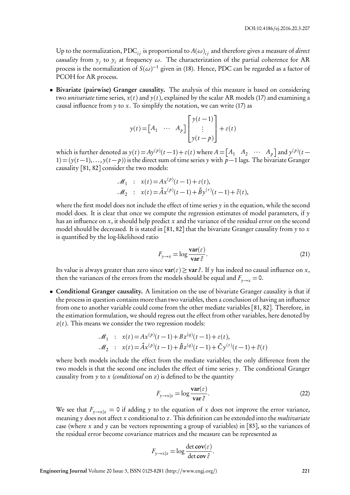Up to the normalization,  ${\rm PDC}_{ij}$  is proportional to  $A(\omega)_{ij}$  and therefore gives a measure of *direct causality* from *y<sup>j</sup>* to *y<sup>i</sup>* at frequency *ω*. The characterization of the partial coherence for AR process is the normalization of  $S(\omega)^{-1}$  given in (18). Hence, PDC can be regarded as a factor of PCOH for AR process.

• Bivariate (pairwise) Granger causality. The analysis of this measure is based on considering two *univariate* time series,  $x(t)$  and  $y(t)$ , explained by the scalar AR models (17) and examining a causal influence from  $\gamma$  to  $x$ . To simplify the notation, we can write (17) as

$$
y(t) = \begin{bmatrix} A_1 & \cdots & A_p \end{bmatrix} \begin{bmatrix} y(t-1) \\ \vdots \\ y(t-p) \end{bmatrix} + \varepsilon(t)
$$

which is further denoted as  $y(t) = Ay^{(p)}(t-1) + \varepsilon(t)$  where  $A = \begin{bmatrix} A_1 & A_2 & \cdots & A_p \end{bmatrix}$  and  $y^{(p)}(t-1)$ 1) = (*y*(*t −*1),..., *y*(*t − p*)) is the direct sum of time series *y* with *p−*1 lags. The bivariate Granger causality [81, 82] consider the two models:

$$
\mathcal{M}_1 : x(t) = Ax^{(p)}(t-1) + \varepsilon(t),
$$
  

$$
\mathcal{M}_2 : x(t) = \tilde{A}x^{(p)}(t-1) + \tilde{B}y^{(r)}(t-1) + \tilde{\varepsilon}(t),
$$

where the first model does not include the effect of time series  $\gamma$  in the equation, while the second model does. It is clear that once we compute the regression estimates of model parameters, if  $\gamma$ has an influence on *x*, it should help predict *x* and the variance of the residual error on the second model should be decreased. It is stated in [81, 82] that the bivariate Granger causality from *y* to *x* is quantified by the log-likelihood ratio

$$
F_{y \to x} = \log \frac{\text{var}(\varepsilon)}{\text{var} \,\tilde{\varepsilon}}.
$$
 (21)

Its value is always greater than zero since  $var(\varepsilon) \geq var \tilde{\varepsilon}$ . If  $\gamma$  has indeed no causal influence on *x*, then the variances of the errors from the models should be equal and  $F_{\gamma \to x} = 0$ .

• Conditional Granger causality. A limitation on the use of bivariate Granger causality is that if the process in question contains more than two variables, then a conclusion of having an influence from one to another variable could come from the other mediate variables [81, 82]. Therefore, in the estimation formulation, we should regress out the effect from other variables, here denoted by *z*(*t*). This means we consider the two regression models:

$$
\mathcal{M}_1 : x(t) = Ax^{(p)}(t-1) + Bz^{(q)}(t-1) + \varepsilon(t),
$$
  

$$
\mathcal{M}_2 : x(t) = \tilde{A}x^{(p)}(t-1) + \tilde{B}z^{(q)}(t-1) + \tilde{C}y^{(r)}(t-1) + \tilde{\varepsilon}(t)
$$

where both models include the effect from the mediate variables; the only difference from the two models is that the second one includes the effect of time series *y*. The conditional Granger causality from *y* to *x* (*conditional* on *z*) is defined to be the quantity

$$
F_{y \to x|z} = \log \frac{\text{var}(\varepsilon)}{\text{var} \,\tilde{\varepsilon}}.\tag{22}
$$

We see that  $F_{\nu \to x|z} = 0$  if adding y to the equation of x does not improve the error variance, meaning *y* does not affect *x* conditional to *z*. This definition can be extended into the *multivariate* case (where *x* and *y* can be vectors representing a group of variables) in [83], so the variances of the residual error become covariance matrices and the measure can be represented as

$$
F_{y \to x|z} = \log \frac{\det \mathbf{cov}(\varepsilon)}{\det \mathbf{cov} \, \tilde{\varepsilon}}.
$$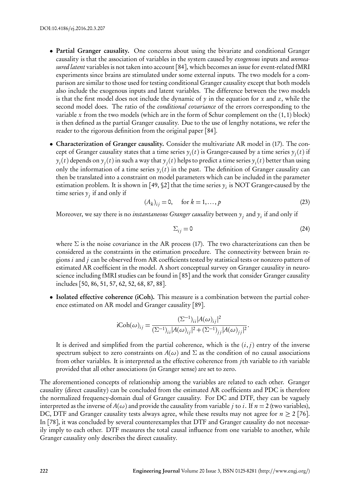- Partial Granger causality. One concerns about using the bivariate and conditional Granger causality is that the association of variables in the system caused by *exogenous* inputs and *unmeasured latent* variables is not taken into account[84], which becomes an issue for event-related fMRI experiments since brains are stimulated under some external inputs. The two models for a comparison are similar to those used for testing conditional Granger causality except that both models also include the exogenous inputs and latent variables. The difference between the two models is that the first model does not include the dynamic of *y* in the equation for *x* and *z*, while the second model does. The ratio of the *conditional covariance* of the errors corresponding to the variable  $x$  from the two models (which are in the form of Schur complement on the  $(1, 1)$  block) is then defined as the partial Granger causality. Due to the use of lengthy notations, we refer the reader to the rigorous definition from the original paper [84].
- *•* Characterization of Granger causality. Consider the multivariate AR model in (17). The concept of Granger causality states that a time series  $y_i(t)$  is Granger-caused by a time series  $y_j(t)$  if  $y_i(t)$  depends on  $y_j(t)$  in such a way that  $y_j(t)$  helps to predict a time series  $y_i(t)$  better than using only the information of a time series  $y_i(t)$  in the past. The definition of Granger causality can then be translated into a constraint on model parameters which can be included in the parameter estimation problem. It is shown in [49,  $\S 2$ ] that the time series  $y_i$  is NOT Granger-caused by the time series  $y_j$  if and only if

$$
(A_k)_{ij} = 0, \quad \text{for } k = 1, \dots, p \tag{23}
$$

Moreover, we say there is no *instantaneous Granger causality* between  $y_j$  and  $y_i$  if and only if

$$
\Sigma_{ij} = 0 \tag{24}
$$

where *Σ* is the noise covariance in the AR process (17). The two characterizations can then be considered as the constraints in the estimation procedure. The connectivity between brain regions *i* and *j* can be observed from AR coefficients tested by statistical tests or nonzero pattern of estimated AR coefficient in the model. A short conceptual survey on Granger causality in neuroscience including fMRI studies can be found in [85] and the work that consider Granger causality includes [50, 86, 51, 57, 62, 52, 68, 87, 88].

• Isolated effective coherence (iCoh). This measure is a combination between the partial coherence estimated on AR model and Granger causality [89].

$$
iCoh(\omega)_{ij} = \frac{(\Sigma^{-1})_{ii}|A(\omega)_{ij}|^2}{(\Sigma^{-1})_{ii}|A(\omega)_{ij}|^2 + (\Sigma^{-1})_{jj}|A(\omega)_{jj}|^2}.
$$

It is derived and simplified from the partial coherence, which is the  $(i, j)$  entry of the inverse spectrum subject to zero constraints on  $A(\omega)$  and  $\Sigma$  as the condition of no causal associations from other variables. It is interpreted as the effective coherence from *j*th variable to *i*th variable provided that all other associations (in Granger sense) are set to zero.

The aforementioned concepts of relationship among the variables are related to each other. Granger causality (direct causality) can be concluded from the estimated AR coefficients and PDC is therefore the normalized frequency-domain dual of Granger causality. For DC and DTF, they can be vaguely interpreted as the inverse of  $A(\omega)$  and provide the causality from variable *j* to *i*. If  $n = 2$  (two variables), DC, DTF and Granger causality tests always agree, while these results may not agree for  $n \geq 2$  [76]. In [78], it was concluded by several counterexamples that DTF and Granger causality do not necessarily imply to each other. DTF measures the total causal influence from one variable to another, while Granger causality only describes the direct causality.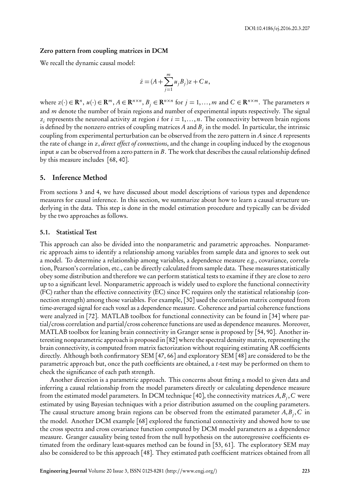#### Zero pattern from coupling matrices in DCM

We recall the dynamic causal model:

$$
\dot{z} = (A + \sum_{j=1}^{m} u_j B_j) z + C u,
$$

where  $z(\cdot) \in \mathbb{R}^n$ ,  $u(\cdot) \in \mathbb{R}^m$ ,  $A \in \mathbb{R}^{n \times n}$ ,  $B_j \in \mathbb{R}^{n \times n}$  for  $j = 1, ..., m$  and  $C \in \mathbb{R}^{n \times m}$ . The parameters n and *m* denote the number of brain regions and number of experimental inputs respectively. The signal  $z_i$  represents the neuronal activity at region *i* for  $i = 1, ..., n$ . The connectivity between brain regions is defined by the nonzero entries of coupling matrices  $A$  and  $B_j$  in the model. In particular, the intrinsic coupling from experimental perturbation can be observed from the zero pattern in *A* since *A* represents the rate of change in *z*, *direct effect of connections*, and the change in coupling induced by the exogenous input *u* can be observed from a zero pattern in *B*. The work that describes the causal relationship defined by this measure includes [68, 40].

#### 5. Inference Method

From sections 3 and 4, we have discussed about model descriptions of various types and dependence measures for causal inference. In this section, we summarize about how to learn a causal structure underlying in the data. This step is done in the model estimation procedure and typically can be divided by the two approaches as follows.

#### 5.1. Statistical Test

This approach can also be divided into the nonparametric and parametric approaches. Nonparametric approach aims to identify a relationship among variables from sample data and ignores to seek out a model. To determine a relationship among variables, a dependence measure *e.g.*, covariance, correlation, Pearson's correlation, etc., can be directly calculated from sample data. These measures statistically obey some distribution and therefore we can perform statistical tests to examine if they are close to zero up to a significant level. Nonparametric approach is widely used to explore the functional connectivity (FC) rather than the effective connectivity (EC) since FC requires only the statistical relationship (connection strength) among those variables. For example, [30] used the correlation matrix computed from time-averaged signal for each voxel as a dependence measure. Coherence and partial coherence functions were analyzed in [72]. MATLAB toolbox for functional connectivity can be found in [34] where partial/cross correlation and partial/cross coherence functions are used as dependence measures. Moreover, MATLAB toolbox for leaning brain connectivity in Granger sense is proposed by [54, 90]. Another interesting nonparametric approach is proposed in [82] where the spectral density matrix, representing the brain connectivity, is computed from matrix factorization without requiring estimating AR coefficients directly. Although both confirmatory SEM [47, 66] and exploratory SEM [48] are considered to be the parametric approach but, once the path coefficients are obtained, a *t*-test may be performed on them to check the significance of each path strength.

Another direction is a parametric approach. This concerns about fitting a model to given data and inferring a causal relationship from the model parameters directly or calculating dependence measure from the estimated model parameters. In DCM technique [40], the connectivity matrices *A*,*B<sup>j</sup>* ,*C* were estimated by using Bayesian techniques with a prior distribution assumed on the coupling parameters. The causal structure among brain regions can be observed from the estimated parameter *A*,*B<sup>j</sup>* ,*C* in the model. Another DCM example [68] explored the functional connectivity and showed how to use the cross spectra and cross covariance function computed by DCM model parameters as a dependence measure. Granger causality being tested from the null hypothesis on the autoregressive coefficients estimated from the ordinary least-squares method can be found in [53, 61]. The exploratory SEM may also be considered to be this approach [48]. They estimated path coefficient matrices obtained from all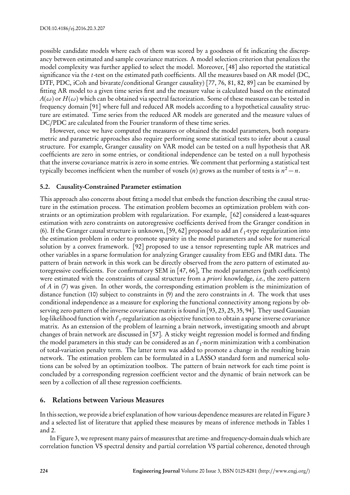possible candidate models where each of them was scored by a goodness of fit indicating the discrepancy between estimated and sample covariance matrices. A model selection criterion that penalizes the model complexity was further applied to select the model. Moreover, [48] also reported the statistical significance via the *t*-test on the estimated path coefficients. All the measures based on AR model (DC, DTF, PDC, iCoh and bivarate/conditional Granger causality) [77, 76, 81, 82, 89] can be examined by fitting AR model to a given time series first and the measure value is calculated based on the estimated  $A(\omega)$  or  $H(\omega)$  which can be obtained via spectral factorization. Some of these measures can be tested in frequency domain [91] where full and reduced AR models according to a hypothetical causality structure are estimated. Time series from the reduced AR models are generated and the measure values of DC/PDC are calculated from the Fourier transform of these time series.

However, once we have computed the measures or obtained the model parameters, both nonparametric and parametric approaches also require performing some statistical tests to infer about a causal structure. For example, Granger causality on VAR model can be tested on a null hypothesis that AR coefficients are zero in some entries, or conditional independence can be tested on a null hypothesis that the inverse covariance matrix is zero in some entries. We comment that performing a statistical test typically becomes inefficient when the number of voxels (*n*) grows as the number of tests is  $n^2 - n$ .

# 5.2. Causality-Constrained Parameter estimation

This approach also concerns about fitting a model that embeds the function describing the causal structure in the estimation process. The estimation problem becomes an optimization problem with constraints or an optimization problem with regularization. For example, [62] considered a least-squares estimation with zero constraints on autoregressive coefficients derived from the Granger condition in (6). If the Granger causal structure is unknown, [59, 62] proposed to add an *ℓ*<sup>1</sup> -type regularization into the estimation problem in order to promote sparsity in the model parameters and solve for numerical solution by a convex framework. [92] proposed to use a tensor representing tuple AR matrices and other variables in a sparse formulation for analyzing Granger causality from EEG and fMRI data. The pattern of brain network in this work can be directly observed from the zero pattern of estimated autoregressive coefficients. For confirmatory SEM in [47, 66], The model parameters (path coefficients) were estimated with the constraints of causal structure from a *priori* knowledge, *i.e.*, the zero pattern of *A* in (7) was given. In other words, the corresponding estimation problem is the minimization of distance function (10) subject to constraints in (9) and the zero constraints in *A*. The work that uses conditional independence as a measure for exploring the functional connectivity among regions by observing zero pattern of the inverse covariance matrix is found in [93, 23, 25, 35, 94]. They used Gaussian log-likelihood function with *ℓ*<sup>1</sup> -regularization as objective function to obtain a sparse inverse covariance matrix. As an extension of the problem of learning a brain network, investigating smooth and abrupt changes of brain network are discussed in [57]. A sticky weight regression model is formed and finding the model parameters in this study can be considered as an *ℓ*<sup>1</sup> -norm minimization with a combination of total-variation penalty term. The latter term was added to promote a change in the resulting brain network. The estimation problem can be formulated in a LASSO standard form and numerical solutions can be solved by an optimization toolbox. The pattern of brain network for each time point is concluded by a corresponding regression coefficient vector and the dynamic of brain network can be seen by a collection of all these regression coefficients.

## 6. Relations between Various Measures

In this section, we provide a brief explanation of how various dependence measures are related in Figure 3 and a selected list of literature that applied these measures by means of inference methods in Tables 1 and 2.

In Figure 3, we represent many pairs of measures that are time- and frequency-domain duals which are correlation function VS spectral density and partial correlation VS partial coherence, denoted through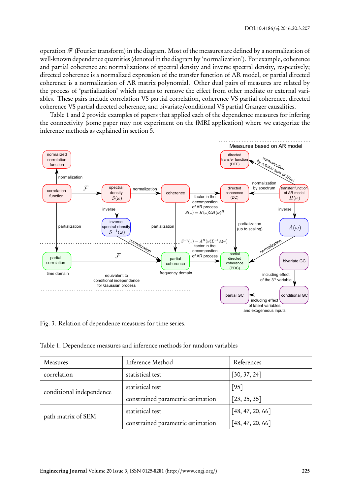operation *F* (Fourier transform) in the diagram. Most of the measures are defined by a normalization of well-known dependence quantities (denoted in the diagram by 'normalization'). For example, coherence and partial coherence are normalizations of spectral density and inverse spectral density, respectively; directed coherence is a normalized expression of the transfer function of AR model, or partial directed coherence is a normalization of AR matrix polynomial. Other dual pairs of measures are related by the process of 'partialization' which means to remove the effect from other mediate or external variables. These pairs include correlation VS partial correlation, coherence VS partial coherence, directed coherence VS partial directed coherence, and bivariate/conditional VS partial Granger causalities.

Table 1 and 2 provide examples of papers that applied each of the dependence measures for infering the connectivity (some paper may not experiment on the fMRI application) where we categorize the inference methods as explained in section 5.



Fig. 3. Relation of dependence measures for time series.

Table 1. Dependence measures and inference methods for random variables

| Measures                 | Inference Method                  | References       |
|--------------------------|-----------------------------------|------------------|
| correlation              | statistical test                  | [30, 37, 24]     |
| conditional independence | statistical test                  | [95]             |
|                          | constrained parametric estimation | [23, 25, 35]     |
| path matrix of SEM       | statistical test                  | [48, 47, 20, 66] |
|                          | constrained parametric estimation | [48, 47, 20, 66] |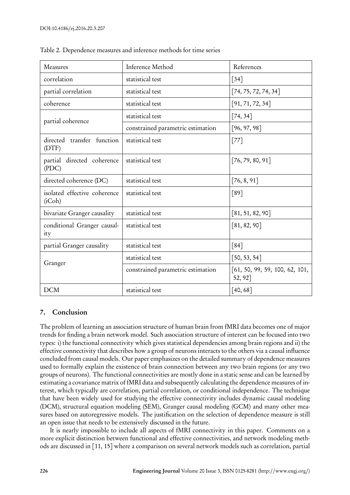| Measures                               | Inference Method                  | References                                |  |
|----------------------------------------|-----------------------------------|-------------------------------------------|--|
| correlation                            | statistical test                  | $\lceil 34 \rceil$                        |  |
| partial correlation                    | statistical test                  | [74, 75, 72, 74, 34]                      |  |
| coherence                              | statistical test                  | [91, 71, 72, 34]                          |  |
| partial coherence                      | statistical test                  | [74, 34]                                  |  |
|                                        | constrained parametric estimation | [96, 97, 98]                              |  |
| directed transfer function<br>(DTF)    | statistical test                  | $[77]$                                    |  |
| partial directed coherence<br>( PDC)   | statistical test                  | [76, 79, 80, 91]                          |  |
| directed coherence (DC)                | statistical test                  | [76, 8, 91]                               |  |
| isolated effective coherence<br>(iCoh) | statistical test                  | [89]                                      |  |
| bivariate Granger causality            | statistical test                  | [81, 51, 82, 90]                          |  |
| conditional Granger causal-<br>ity     | statistical test                  | [81, 82, 90]                              |  |
| partial Granger causality              | statistical test                  | $\lceil 84 \rceil$                        |  |
| Granger                                | statistical test                  | [50, 53, 54]                              |  |
|                                        | constrained parametric estimation | [61, 50, 99, 59, 100, 62, 101,<br>52, 92] |  |
| <b>DCM</b>                             | statistical test                  | [40, 68]                                  |  |

Table 2. Dependence measures and inference methods for time series

# 7. Conclusion

The problem of learning an association structure of human brain from fMRI data becomes one of major trends for finding a brain network model. Such association structure of interest can be focused into two types: i) the functional connectivity which gives statistical dependencies among brain regions and ii) the effective connectivity that describes how a group of neurons interacts to the others via a causal influence concluded from causal models. Our paper emphasizes on the detailed summary of dependence measures used to formally explain the existence of brain connection between any two brain regions (or any two groups of neurons). The functional connectivities are mostly done in a static sense and can be learned by estimating a covariance matrix of fMRI data and subsequently calculating the dependence measures of interest, which typically are correlation, partial correlation, or conditional independence. The technique that have been widely used for studying the effective connectivity includes dynamic causal modeling (DCM), structural equation modeling (SEM), Granger causal modeling (GCM) and many other measures based on autoregressive models. The justification on the selection of dependence measure is still an open issue that needs to be extensively discussed in the future.

It is nearly impossible to include all aspects of fMRI connectivity in this paper. Comments on a more explicit distinction between functional and effective connectivities, and network modeling methods are discussed in [11, 15] where a comparison on several network models such as correlation, partial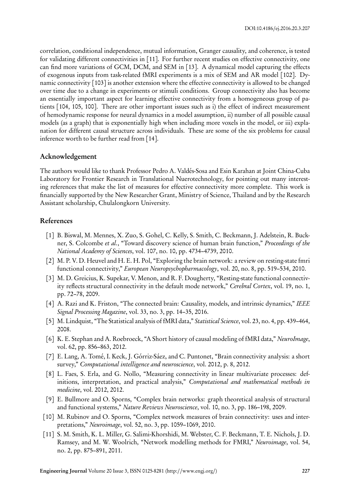correlation, conditional independence, mutual information, Granger causality, and coherence, is tested for validating different connectivities in [11]. For further recent studies on effective connectivity, one can find more variations of GCM, DCM, and SEM in [13]. A dynamical model capturing the effects of exogenous inputs from task-related fMRI experiments is a mix of SEM and AR model [102]. Dynamic connectivity [103] is another extension where the effective connectivity is allowed to be changed over time due to a change in experiments or stimuli conditions. Group connectivity also has become an essentially important aspect for learning effective connectivity from a homogeneous group of patients [104, 105, 100]. There are other important issues such as i) the effect of indirect measurement of hemodynamic response for neural dynamics in a model assumption, ii) number of all possible causal models (as a graph) that is exponentially high when including more voxels in the model, or iii) explanation for different causal structure across individuals. These are some of the six problems for causal inference worth to be further read from [14].

## Acknowledgement

The authors would like to thank Professor Pedro A. Valdés-Sosa and Esin Karahan at Joint China-Cuba Laboratory for Frontier Research in Translational Nuerotechnology, for pointing out many interesting references that make the list of measures for effective connectivity more complete. This work is financially supported by the New Researcher Grant, Ministry of Science, Thailand and by the Research Assistant scholarship, Chulalongkorn University.

# References

- [1] B. Biswal, M. Mennes, X. Zuo, S. Gohel, C. Kelly, S. Smith, C. Beckmann, J. Adelstein, R. Buckner, S. Colcombe *et al.*, "Toward discovery science of human brain function," *Proceedings of the National Academy of Sciences*, vol. 107, no. 10, pp. 4734–4739, 2010.
- [2] M. P. V. D. Heuvel and H. E. H. Pol, "Exploring the brain network: a review on resting-state fmri functional connectivity," *European Neuropsychopharmacology*, vol. 20, no. 8, pp. 519–534, 2010.
- [3] M. D. Greicius, K. Supekar, V. Menon, and R. F. Dougherty, "Resting-state functional connectivity reflects structural connectivity in the default mode network," *Cerebral Cortex*, vol. 19, no. 1, pp. 72–78, 2009.
- [4] A. Razi and K. Friston, "The connected brain: Causality, models, and intrinsic dynamics," *IEEE Signal Processing Magazine*, vol. 33, no. 3, pp. 14–35, 2016.
- [5] M. Lindquist, "The Statistical analysis of fMRI data," *Statistical Science*, vol. 23, no. 4, pp. 439–464, 2008.
- [6] K. E. Stephan and A. Roebroeck, "A Short history of causal modeling of fMRI data," *NeuroImage*, vol. 62, pp. 856–863, 2012.
- [7] E. Lang, A. Tomé, I. Keck, J. Górriz-Sáez, and C. Puntonet, "Brain connectivity analysis: a short survey," *Computational intelligence and neuroscience*, vol. 2012, p. 8, 2012.
- [8] L. Faes, S. Erla, and G. Nollo, "Measuring connectivity in linear multivariate processes: definitions, interpretation, and practical analysis," *Computational and mathematical methods in medicine*, vol. 2012, 2012.
- [9] E. Bullmore and O. Sporns, "Complex brain networks: graph theoretical analysis of structural and functional systems," *Nature Reviews Neuroscience*, vol. 10, no. 3, pp. 186–198, 2009.
- [10] M. Rubinov and O. Sporns, "Complex network measures of brain connectivity: uses and interpretations," *Neuroimage*, vol. 52, no. 3, pp. 1059–1069, 2010.
- [11] S. M. Smith, K. L. Miller, G. Salimi-Khorshidi, M. Webster, C. F. Beckmann, T. E. Nichols, J. D. Ramsey, and M. W. Woolrich, "Network modelling methods for FMRI," *Neuroimage*, vol. 54, no. 2, pp. 875–891, 2011.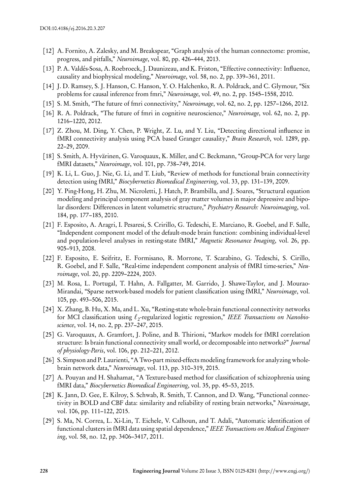- [12] A. Fornito, A. Zalesky, and M. Breakspear, "Graph analysis of the human connectome: promise, progress, and pitfalls," *Neuroimage*, vol. 80, pp. 426–444, 2013.
- [13] P. A. Valdés-Sosa, A. Roebroeck, J. Daunizeau, and K. Friston, "Effective connectivity: Influence, causality and biophysical modeling," *Neuroimage*, vol. 58, no. 2, pp. 339–361, 2011.
- [14] J. D. Ramsey, S. J. Hanson, C. Hanson, Y. O. Halchenko, R. A. Poldrack, and C. Glymour, "Six problems for causal inference from fmri," *Neuroimage*, vol. 49, no. 2, pp. 1545–1558, 2010.
- [15] S. M. Smith, "The future of fmri connectivity," *Neuroimage*, vol. 62, no. 2, pp. 1257–1266, 2012.
- [16] R. A. Poldrack, "The future of fmri in cognitive neuroscience," *Neuroimage*, vol. 62, no. 2, pp. 1216–1220, 2012.
- [17] Z. Zhou, M. Ding, Y. Chen, P. Wright, Z. Lu, and Y. Liu, "Detecting directional influence in fMRI connectivity analysis using PCA based Granger causality," *Brain Research*, vol. 1289, pp. 22–29, 2009.
- [18] S. Smith, A. Hyvärinen, G. Varoquaux, K. Miller, and C. Beckmann, "Group-PCA for very large fMRI datasets," *Neuroimage*, vol. 101, pp. 738–749, 2014.
- [19] K. Li, L. Guo, J. Nie, G. Li, and T. Liub, "Review of methods for functional brain connectivity detection using fMRI," *Biocybernetics Biomedical Engineering*, vol. 33, pp. 131–139, 2009.
- [20] Y. Ping-Hong, H. Zhu, M. Nicroletti, J. Hatch, P. Brambilla, and J. Soares, "Structural equation modeling and principal component analysis of gray matter volumes in major depressive and bipolar disorders: Differences in latent volumetric structure," *Psychiatry Research: Neuroimaging*, vol. 184, pp. 177–185, 2010.
- [21] F. Esposito, A. Aragri, I. Pesaresi, S. Cririllo, G. Tedeschi, E. Marciano, R. Goebel, and F. Salle, "Independent component model of the default-mode brain function: combining individual-level and population-level analyses in resting-state fMRI," *Magnetic Resonance Imaging*, vol. 26, pp. 905–913, 2008.
- [22] F. Esposito, E. Seifritz, E. Formisano, R. Morrone, T. Scarabino, G. Tedeschi, S. Cirillo, R. Goebel, and F. Salle, "Real-time independent component analysis of fMRI time-series," *Neuroimage*, vol. 20, pp. 2209–2224, 2003.
- [23] M. Rosa, L. Portugal, T. Hahn, A. Fallgatter, M. Garrido, J. Shawe-Taylor, and J. Mourao-Mirandai, "Sparse network-based models for patient classification using fMRI," *Neuroimage*, vol. 105, pp. 493–506, 2015.
- [24] X. Zhang, B. Hu, X. Ma, and L. Xu, "Resting-state whole-brain functional connectivity networks for MCI classification using *ℓ*<sup>2</sup> -regularized logistic regression," *IEEE Transactions on Nanobioscience*, vol. 14, no. 2, pp. 237–247, 2015.
- [25] G. Varoquaux, A. Gramfort, J. Poline, and B. Thirioni, "Markov models for fMRI correlation structure: Is brain functional connectivity small world, or decomposable into networks?" *Journal of physiology-Paris*, vol. 106, pp. 212–221, 2012.
- [26] S. Simpson and P. Laurienti, "A Two-part mixed-effects modeling framework for analyzing wholebrain network data," *Neuroimage*, vol. 113, pp. 310–319, 2015.
- [27] A. Pouyan and H. Shahamat, "A Texture-based method for classification of schizophrenia using fMRI data," *Biocybernetics Biomedical Engineering*, vol. 35, pp. 45–53, 2015.
- [28] K. Jann, D. Gee, E. Kilroy, S. Schwab, R. Smith, T. Cannon, and D. Wang, "Functional connectivity in BOLD and CBF data: similarity and reliability of resting brain networks," *Neuroimage*, vol. 106, pp. 111–122, 2015.
- [29] S. Ma, N. Correa, L. Xi-Lin, T. Eichele, V. Calhoun, and T. Adali, "Automatic identification of functional clusters in fMRI data using spatial dependence," *IEEE Transactions on Medical Engineering*, vol. 58, no. 12, pp. 3406–3417, 2011.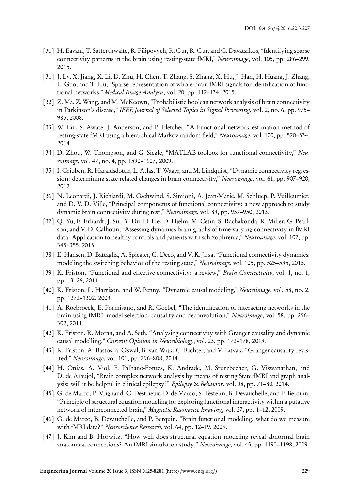- [30] H. Eavani, T. Satterthwaite, R. Filipovych, R. Gur, R. Gur, and C. Davatzikos, "Identifying sparse connectivity patterns in the brain using resting-state fMRI," *Neuroimage*, vol. 105, pp. 286–299, 2015.
- [31] J. Lv, X. Jiang, X. Li, D. Zhu, H. Chen, T. Zhang, S. Zhang, X. Hu, J. Han, H. Huang, J. Zhang, L. Guo, and T. Liu, "Sparse representation of whole-brain fMRI signals for identification of functional networks," *Medical Image Analysis*, vol. 20, pp. 112–134, 2015.
- [32] Z. Ma, Z. Wang, and M. McKeown, "Probabilistic boolean network analysis of brain connectivity in Parkinson's disease," *IEEE Journal of Selected Topics in Signal Processing*, vol. 2, no. 6, pp. 975– 985, 2008.
- [33] W. Liu, S. Awate, J. Anderson, and P. Fletcher, "A Functional network estimation method of resting-state fMRI using a hierarchical Markov random field," *Neuroimage*, vol. 100, pp. 520–534, 2014.
- [34] D. Zhou, W. Thompson, and G. Siegle, "MATLAB toolbox for functional connectivity," *Neuroimage*, vol. 47, no. 4, pp. 1590–1607, 2009.
- [35] I. Cribben, R. Haraldsdottir, L. Atlas, T. Wager, and M. Lindquist, "Dynamic connectivity regression: determining state-related changes in brain connectivity," *Neuroimage*, vol. 61, pp. 907–920, 2012.
- [36] N. Leonardi, J. Richiardi, M. Gschwind, S. Simioni, A. Jean-Marie, M. Schluep, P. Vuilleumier, and D. V. D. Ville, "Principal components of functional connectivity: a new approach to study dynamic brain connectivity during rest," *Neuroimage*, vol. 83, pp. 937–950, 2013.
- [37] Q. Yu, E. Erhardt, J. Sui, Y. Du, H. He, D. Hjelm, M. Cetin, S. Rachakonda, R. Miller, G. Pearlson, and V. D. Calhoun, "Assessing dynamics brain graphs of time-varying connectivity in fMRI data: Application to healthy controls and patients with schizophrenia," *Neuroimage*, vol. 107, pp. 345–355, 2015.
- [38] E. Hansen, D. Battaglia, A. Spiegler, G. Deco, and V. K. Jirsa, "Functional connectivity dynamics: modeling the switching behavior of the resting state," *Neuroimage*, vol. 105, pp. 525–535, 2015.
- [39] K. Friston, "Functional and effective connectivity: a review," *Brain Connectivity*, vol. 1, no. 1, pp. 13–26, 2011.
- [40] K. Friston, L. Harrison, and W. Penny, "Dynamic causal modeling," *Neuroimage*, vol. 58, no. 2, pp. 1272–1302, 2003.
- [41] A. Roebroeck, E. Formisano, and R. Goebel, "The identification of interacting networks in the brain using fMRI: model selection, causality and deconvolution," *Neuroimage*, vol. 58, pp. 296– 302, 2011.
- [42] K. Friston, R. Moran, and A. Seth, "Analysing connectivity with Granger causality and dynamic causal modelling," *Current Opinion in Neurobiology*, vol. 23, pp. 172–178, 2013.
- [43] K. Friston, A. Bastos, a. Oswal, B. van Wijk, C. Richter, and V. Litvak, "Granger causality revisited," *Neuroimage*, vol. 101, pp. 796–808, 2014.
- [44] H. Onias, A. Viol, F. Palhano-Fontes, K. Andrade, M. Sturzbecher, G. Viswanathan, and D. de Araujol, "Brain complex network analysis by means of resting State fMRI and graph analysis: will it be helpful in clinical epilepsy?" *Epilepsy* & *Behavior*, vol. 38, pp. 71–80, 2014.
- [45] G. de Marco, P. Vrignaud, C. Destrieux, D. de Marco, S. Testelin, B. Devauchelle, and P. Berquin, "Principle of structural equation modeling for exploring functional interactivity within a putative network of interconnected brain," *Magnetic Resonance Imaging*, vol. 27, pp. 1–12, 2009.
- [46] G. de Marco, B. Devauchelle, and P. Berquin, "Brain functional modeling, what do we measure with fMRI data?" *Neuroscience Research*, vol. 64, pp. 12–19, 2009.
- [47] J. Kim and B. Horwitz, "How well does structural equation modeling reveal abnormal brain anatomical connections? An fMRI simulation study," *Neuroimage*, vol. 45, pp. 1190–1198, 2009.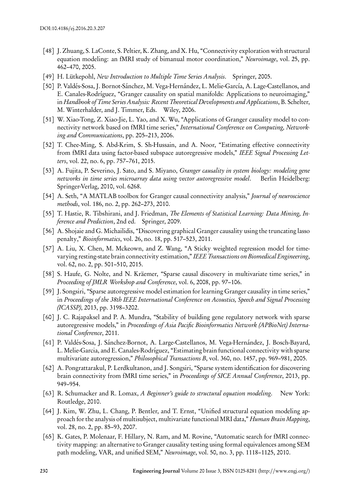- [48] J. Zhuang, S. LaConte, S. Peltier, K. Zhang, and X. Hu, "Connectivity exploration with structural equation modeling: an fMRI study of bimanual motor coordination," *Neuroimage*, vol. 25, pp. 462–470, 2005.
- [49] H. Lütkepohl, *New Introduction to Multiple Time Series Analysis*. Springer, 2005.
- [50] P. Valdés-Sosa, J. Bornot-Sánchez, M. Vega-Hernández, L. Melie-García, A. Lage-Castellanos, and E. Canales-Rodríguez, "Granger causality on spatial manifolds: Applications to neuroimaging," in *Handbook of Time Series Analysis: Recent Theoretical Developments and Applications*, B. Schelter, M. Winterhalder, and J. Timmer, Eds. Wiley, 2006.
- [51] W. Xiao-Tong, Z. Xiao-Jie, L. Yao, and X. Wu, "Applications of Granger causality model to connectivity network based on fMRI time series," *International Conference on Computing, Networking and Communications*, pp. 205–213, 2006.
- [52] T. Chee-Ming, S. Abd-Krim, S. Sh-Hussain, and A. Noor, "Estimating effective connectivity from fMRI data using factor-based subspace autoregressive models," *IEEE Signal Processing Letters*, vol. 22, no. 6, pp. 757–761, 2015.
- [53] A. Fujita, P. Severino, J. Sato, and S. Miyano, *Granger causality in system biology: modeling gene networks in time series microarray data using vector autoregressive model*. Berlin Heidelberg: Springer-Verlag, 2010, vol. 6268.
- [54] A. Seth, "A MATLAB toolbox for Granger causal connectivity analysis," *Journal of neuroscience methods*, vol. 186, no. 2, pp. 262–273, 2010.
- [55] T. Hastie, R. Tibshirani, and J. Friedman, *The Elements of Statistical Learning: Data Mining, Inference and Prediction*, 2nd ed. Springer, 2009.
- [56] A. Shojaie and G. Michailidis, "Discovering graphical Granger causality using the truncating lasso penalty," *Bioinformatics*, vol. 26, no. 18, pp. 517–523, 2011.
- [57] A. Liu, X. Chen, M. Mckeown, and Z. Wang, "A Sticky weighted regression model for timevarying resting-state brain connectivity estimation," *IEEE Transactions on Biomedical Engineering*, vol. 62, no. 2, pp. 501–510, 2015.
- [58] S. Haufe, G. Nolte, and N. Kräemer, "Sparse causal discovery in multivariate time series," in *Proceeding of JMLR Workshop and Conference*, vol. 6, 2008, pp. 97–106.
- [59] J. Songsiri, "Sparse autoregressive model estimation for learning Granger causality in time series," in *Proceedings of the 38th IEEE International Conference on Acoustics, Speech and Signal Processing (ICASSP)*, 2013, pp. 3198–3202.
- [60] J. C. Rajapaksel and P. A. Mundra, "Stability of building gene regulatory network with sparse autoregressive models," in *Proceedings of Asia Pacific Bioinformatics Network (APBioNet) International Conference*, 2011.
- [61] P. Valdés-Sosa, J. Sánchez-Bornot, A. Large-Castellanos, M. Vega-Hernández, J. Bosch-Bayard, L. Melie-Garcia, and E. Canales-Rodríguez, "Estimating brain functional connectivity with sparse multivariate autoregression," *Philosophical Transactions B*, vol. 360, no. 1457, pp. 969–981, 2005.
- [62] A. Pongrattarakul, P. Lerdkultanon, and J. Songsiri, "Sparse system identification for discovering brain connectivity from fMRI time series," in *Proceedings of SICE Annual Conference*, 2013, pp. 949–954.
- [63] R. Schumacker and R. Lomax, *A Beginner's guide to structural equation modeling*. New York: Routledge, 2010.
- [64] J. Kim, W. Zhu, L. Chang, P. Bentler, and T. Ernst, "Unified structural equation modeling approach for the analysis of multisubject, multivariate functional MRI data," *Human Brain Mapping*, vol. 28, no. 2, pp. 85–93, 2007.
- [65] K. Gates, P. Molenaar, F. Hillary, N. Ram, and M. Rovine, "Automatic search for fMRI connectivity mapping: an alternative to Granger causality testing using formal equivalences among SEM path modeling, VAR, and unified SEM," *Neuroimage*, vol. 50, no. 3, pp. 1118–1125, 2010.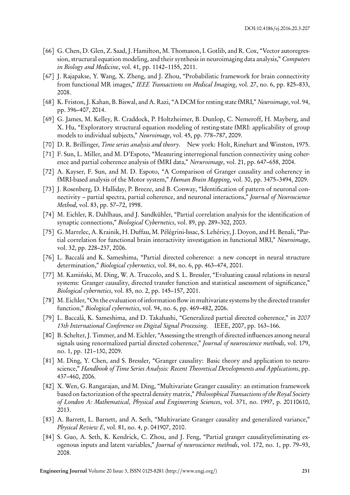- [66] G. Chen, D. Glen, Z. Saad, J. Hamilton, M. Thomason, I. Gotlib, and R. Cox, "Vector autoregression, structural equation modeling, and their synthesis in neuroimaging data analysis," *Computers in Biology and Medicine*, vol. 41, pp. 1142–1155, 2011.
- [67] J. Rajapakse, Y. Wang, X. Zheng, and J. Zhou, "Probabilistic framework for brain connectivity from functional MR images," *IEEE Transactions on Medical Imaging*, vol. 27, no. 6, pp. 825–833, 2008.
- [68] K. Friston, J. Kahan, B. Biswal, and A. Razi, "A DCM for resting state fMRI," *Neuroimage*, vol. 94, pp. 396–407, 2014.
- [69] G. James, M. Kelley, R. Craddock, P. Holtzheimer, B. Dunlop, C. Nemeroff, H. Mayberg, and X. Hu, "Exploratory structural equation modeling of resting-state fMRI: applicability of group models to individual subjects," *Neuroimage*, vol. 45, pp. 778–787, 2009.
- [70] D. R. Brillinger, *Time series analysis and theory*. New york: Holt, Rinehart and Winston, 1975.
- [71] F. Sun, L. Miller, and M. D'Espoto, "Measuring interregional function connectivity using coherence and partial coherence analysis of fMRI data," *Neruroimage*, vol. 21, pp. 647–658, 2004.
- [72] A. Kayser, F. Sun, and M. D. Espoto, "A Comparison of Granger causality and coherency in fMRI-based analysis of the Motor system," *Human Brain Mapping*, vol. 30, pp. 3475–3494, 2009.
- [73] J. Rosenberg, D. Halliday, P. Breeze, and B. Conway, "Identification of pattern of neuronal connectivity – partial spectra, partial coherence, and neuronal interactions," *Journal of Neuroscience Method*, vol. 83, pp. 57–72, 1998.
- [74] M. Eichler, R. Dahlhaus, and J. Sandkühler, "Partial correlation analysis for the identification of synaptic connections," *Biological Cybernetics*, vol. 89, pp. 289–302, 2003.
- [75] G. Marrelec, A. Krainik, H. Duffau, M. Pélégrini-Issac, S. Lehéricy, J. Doyon, and H. Benali, "Partial correlation for functional brain interactivity investigation in functional MRI," *Neuroimage*, vol. 32, pp. 228–237, 2006.
- [76] L. Baccalá and K. Sameshima, "Partial directed coherence: a new concept in neural structure determination," *Biological cybernetics*, vol. 84, no. 6, pp. 463–474, 2001.
- [77] M. Kamiński, M. Ding, W. A. Truccolo, and S. L. Bressler, "Evaluating causal relations in neural systems: Granger causality, directed transfer function and statistical assessment of significance," *Biological cybernetics*, vol. 85, no. 2, pp. 145–157, 2001.
- [78] M. Eichler, "On the evaluation of information flow in multivariate systems by the directed transfer function," *Biological cybernetics*, vol. 94, no. 6, pp. 469–482, 2006.
- [79] L. Baccalá, K. Sameshima, and D. Takahashi, "Generalized partial directed coherence," in *2007 15th International Conference on Digital Signal Processing*. IEEE, 2007, pp. 163–166.
- [80] B. Schelter, J. Timmer, and M. Eichler, "Assessing the strength of directed influences among neural signals using renormalized partial directed coherence," *Journal of neuroscience methods*, vol. 179, no. 1, pp. 121–130, 2009.
- [81] M. Ding, Y. Chen, and S. Bressler, "Granger causality: Basic theory and application to neuroscience," *Handbook of Time Series Analysis: Recent Theoretical Developments and Applications*, pp. 437–460, 2006.
- [82] X. Wen, G. Rangarajan, and M. Ding, "Multivariate Granger causality: an estimation framework based on factorization of the spectral density matrix," *Philosophical Transactions of the Royal Society of London A: Mathematical, Physical and Engineering Sciences*, vol. 371, no. 1997, p. 20110610, 2013.
- [83] A. Barrett, L. Barnett, and A. Seth, "Multivariate Granger causality and generalized variance," *Physical Review E*, vol. 81, no. 4, p. 041907, 2010.
- [84] S. Guo, A. Seth, K. Kendrick, C. Zhou, and J. Feng, "Partial granger causalityeliminating exogenous inputs and latent variables," *Journal of neuroscience methods*, vol. 172, no. 1, pp. 79–93, 2008.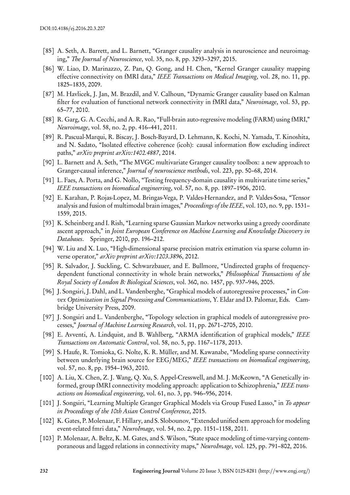- [85] A. Seth, A. Barrett, and L. Barnett, "Granger causality analysis in neuroscience and neuroimaging," *The Journal of Neuroscience*, vol. 35, no. 8, pp. 3293–3297, 2015.
- [86] W. Liao, D. Marinazzo, Z. Pan, Q. Gong, and H. Chen, "Kernel Granger causality mapping effective connectivity on fMRI data," *IEEE Transactions on Medical Imaging*, vol. 28, no. 11, pp. 1825–1835, 2009.
- [87] M. Havlicek, J. Jan, M. Brazdil, and V. Calhoun, "Dynamic Granger causality based on Kalman filter for evaluation of functional network connectivity in fMRI data," *Neuroimage*, vol. 53, pp. 65–77, 2010.
- [88] R. Garg, G. A. Cecchi, and A. R. Rao, "Full-brain auto-regressive modeling (FARM) using fMRI," *Neuroimage*, vol. 58, no. 2, pp. 416–441, 2011.
- [89] R. Pascual-Marqui, R. Biscay, J. Bosch-Bayard, D. Lehmann, K. Kochi, N. Yamada, T. Kinoshita, and N. Sadato, "Isolated effective coherence (icoh): causal information flow excluding indirect paths," *arXiv preprint arXiv:1402.4887*, 2014.
- [90] L. Barnett and A. Seth, "The MVGC multivariate Granger causality toolbox: a new approach to Granger-causal inference," *Journal of neuroscience methods*, vol. 223, pp. 50–68, 2014.
- [91] L. Faes, A. Porta, and G. Nollo, "Testing frequency-domain causality in multivariate time series," *IEEE transactions on biomedical engineering*, vol. 57, no. 8, pp. 1897–1906, 2010.
- [92] E. Karahan, P. Rojas-Lopez, M. Bringas-Vega, P. Valdes-Hernandez, and P. Valdes-Sosa, "Tensor analysis and fusion of multimodal brain images," *Proceedings of the IEEE*, vol. 103, no. 9, pp. 1531– 1559, 2015.
- [93] K. Scheinberg and I. Rish, "Learning sparse Gaussian Markov networks using a greedy coordinate ascent approach," in *Joint European Conference on Machine Learning and Knowledge Discovery in Databases*. Springer, 2010, pp. 196–212.
- [94] W. Liu and X. Luo, "High-dimensional sparse precision matrix estimation via sparse column inverse operator," *arXiv preprint arXiv:1203.3896*, 2012.
- [95] R. Salvador, J. Suckling, C. Schwarzbauer, and E. Bullmore, "Undirected graphs of frequencydependent functional connectivity in whole brain networks," *Philosophical Transactions of the Royal Society of London B: Biological Sciences*, vol. 360, no. 1457, pp. 937–946, 2005.
- [96] J. Songsiri, J. Dahl, and L. Vandenberghe, "Graphical models of autoregressive processes," in *Convex Optimization in Signal Processing and Communications*, Y. Eldar and D. Palomar, Eds. Cambridge University Press, 2009.
- [97] J. Songsiri and L. Vandenberghe, "Topology selection in graphical models of autoregressive processes," *Journal of Machine Learning Research*, vol. 11, pp. 2671–2705, 2010.
- [98] E. Avventi, A. Lindquist, and B. Wahlberg, "ARMA identification of graphical models," *IEEE Transactions on Automatic Control*, vol. 58, no. 5, pp. 1167–1178, 2013.
- [99] S. Haufe, R. Tomioka, G. Nolte, K. R. Müller, and M. Kawanabe, "Modeling sparse connectivity between underlying brain source for EEG/MEG," *IEEE transactions on biomedical engineering*, vol. 57, no. 8, pp. 1954–1963, 2010.
- [100] A. Liu, X. Chen, Z. J. Wang, Q. Xu, S. Appel-Cresswell, and M. J. McKeown, "A Genetically informed, group fMRI connectivity modeling approach: application to Schizophrenia," *IEEE transactions on biomedical engineering*, vol. 61, no. 3, pp. 946–956, 2014.
- [101] J. Songsiri, "Learning Multiple Granger Graphical Models via Group Fused Lasso," in *To appear in Proceedings of the 10th Asian Control Conference*, 2015.
- [102] K. Gates, P. Molenaar, F. Hillary, and S. Slobounov, "Extended unified sem approach for modeling event-related fmri data," *NeuroImage*, vol. 54, no. 2, pp. 1151–1158, 2011.
- [103] P. Molenaar, A. Beltz, K. M. Gates, and S. Wilson, "State space modeling of time-varying contemporaneous and lagged relations in connectivity maps," *NeuroImage*, vol. 125, pp. 791–802, 2016.